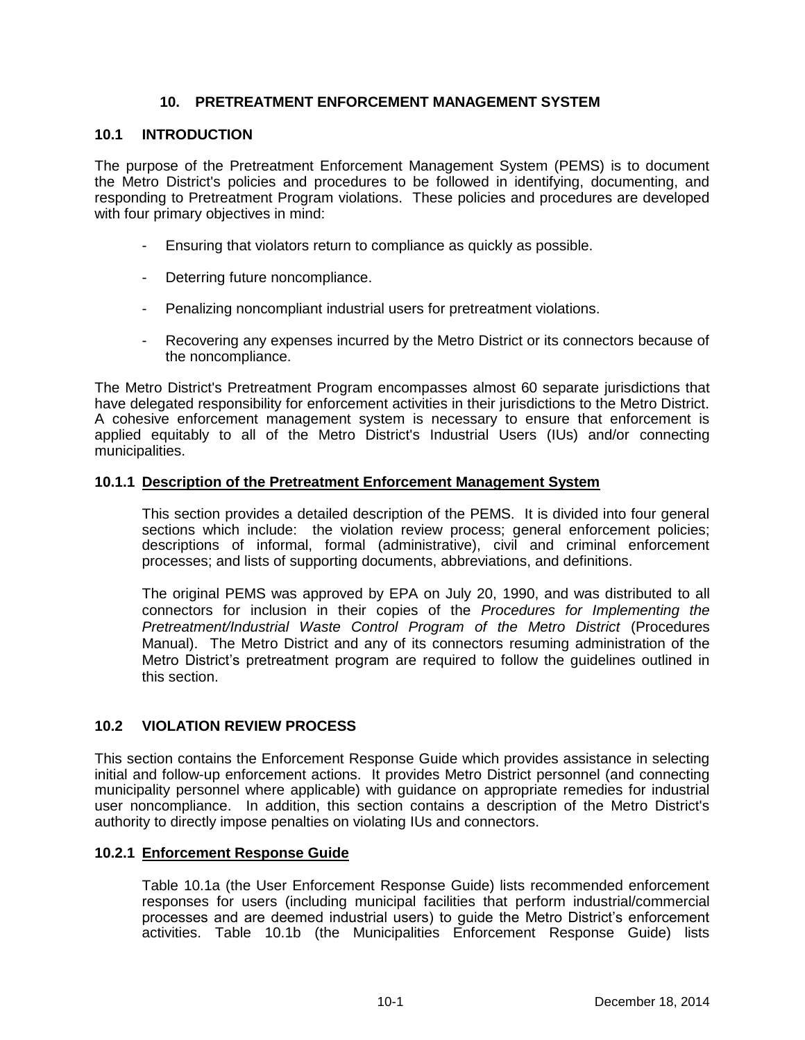# **10. PRETREATMENT ENFORCEMENT MANAGEMENT SYSTEM**

#### **10.1 INTRODUCTION**

The purpose of the Pretreatment Enforcement Management System (PEMS) is to document the Metro District's policies and procedures to be followed in identifying, documenting, and responding to Pretreatment Program violations. These policies and procedures are developed with four primary objectives in mind:

- Ensuring that violators return to compliance as quickly as possible.
- Deterring future noncompliance.
- Penalizing noncompliant industrial users for pretreatment violations.
- Recovering any expenses incurred by the Metro District or its connectors because of the noncompliance.

The Metro District's Pretreatment Program encompasses almost 60 separate jurisdictions that have delegated responsibility for enforcement activities in their jurisdictions to the Metro District. A cohesive enforcement management system is necessary to ensure that enforcement is applied equitably to all of the Metro District's Industrial Users (IUs) and/or connecting municipalities.

## **10.1.1 Description of the Pretreatment Enforcement Management System**

This section provides a detailed description of the PEMS. It is divided into four general sections which include: the violation review process; general enforcement policies; descriptions of informal, formal (administrative), civil and criminal enforcement processes; and lists of supporting documents, abbreviations, and definitions.

The original PEMS was approved by EPA on July 20, 1990, and was distributed to all connectors for inclusion in their copies of the *Procedures for Implementing the Pretreatment/Industrial Waste Control Program of the Metro District* (Procedures Manual). The Metro District and any of its connectors resuming administration of the Metro District's pretreatment program are required to follow the guidelines outlined in this section.

# **10.2 VIOLATION REVIEW PROCESS**

This section contains the Enforcement Response Guide which provides assistance in selecting initial and follow-up enforcement actions. It provides Metro District personnel (and connecting municipality personnel where applicable) with guidance on appropriate remedies for industrial user noncompliance. In addition, this section contains a description of the Metro District's authority to directly impose penalties on violating IUs and connectors.

#### **10.2.1 Enforcement Response Guide**

Table 10.1a (the User Enforcement Response Guide) lists recommended enforcement responses for users (including municipal facilities that perform industrial/commercial processes and are deemed industrial users) to guide the Metro District's enforcement activities. Table 10.1b (the Municipalities Enforcement Response Guide) lists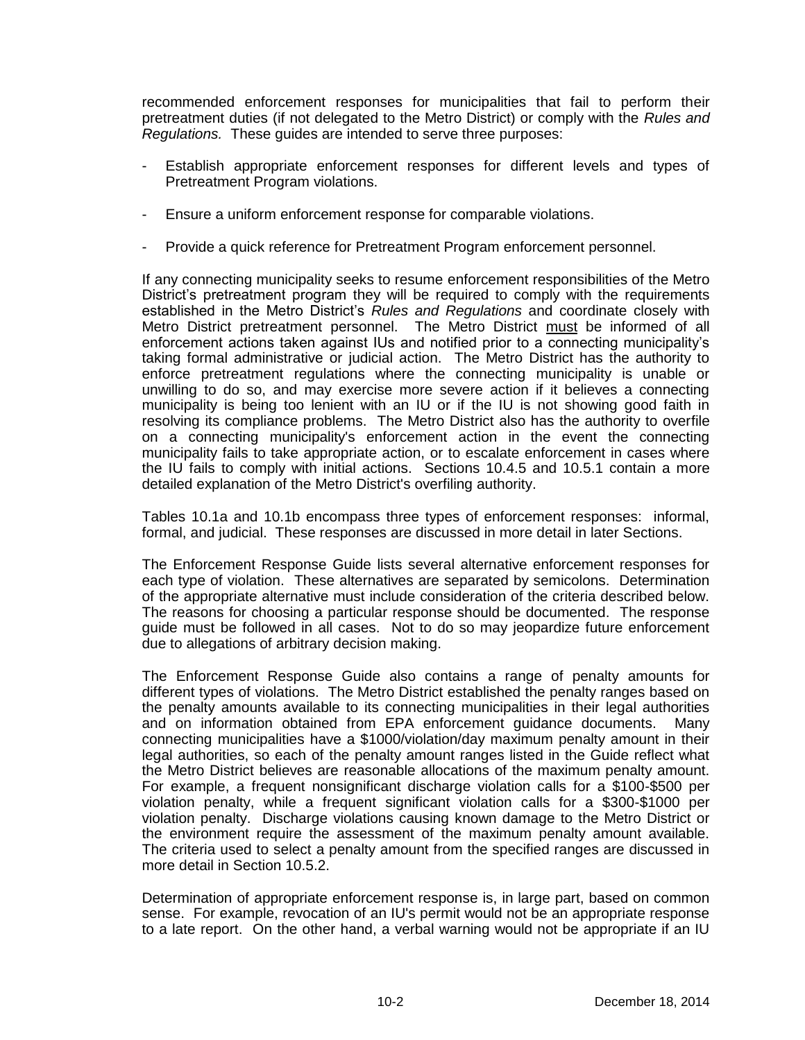recommended enforcement responses for municipalities that fail to perform their pretreatment duties (if not delegated to the Metro District) or comply with the *Rules and Regulations.* These guides are intended to serve three purposes:

- Establish appropriate enforcement responses for different levels and types of Pretreatment Program violations.
- Ensure a uniform enforcement response for comparable violations.
- Provide a quick reference for Pretreatment Program enforcement personnel.

If any connecting municipality seeks to resume enforcement responsibilities of the Metro District's pretreatment program they will be required to comply with the requirements established in the Metro District's *Rules and Regulations* and coordinate closely with Metro District pretreatment personnel. The Metro District must be informed of all enforcement actions taken against IUs and notified prior to a connecting municipality's taking formal administrative or judicial action. The Metro District has the authority to enforce pretreatment regulations where the connecting municipality is unable or unwilling to do so, and may exercise more severe action if it believes a connecting municipality is being too lenient with an IU or if the IU is not showing good faith in resolving its compliance problems. The Metro District also has the authority to overfile on a connecting municipality's enforcement action in the event the connecting municipality fails to take appropriate action, or to escalate enforcement in cases where the IU fails to comply with initial actions. Sections 10.4.5 and 10.5.1 contain a more detailed explanation of the Metro District's overfiling authority.

Tables 10.1a and 10.1b encompass three types of enforcement responses: informal, formal, and judicial. These responses are discussed in more detail in later Sections.

The Enforcement Response Guide lists several alternative enforcement responses for each type of violation. These alternatives are separated by semicolons. Determination of the appropriate alternative must include consideration of the criteria described below. The reasons for choosing a particular response should be documented. The response guide must be followed in all cases. Not to do so may jeopardize future enforcement due to allegations of arbitrary decision making.

The Enforcement Response Guide also contains a range of penalty amounts for different types of violations. The Metro District established the penalty ranges based on the penalty amounts available to its connecting municipalities in their legal authorities and on information obtained from EPA enforcement guidance documents. Many connecting municipalities have a \$1000/violation/day maximum penalty amount in their legal authorities, so each of the penalty amount ranges listed in the Guide reflect what the Metro District believes are reasonable allocations of the maximum penalty amount. For example, a frequent nonsignificant discharge violation calls for a \$100-\$500 per violation penalty, while a frequent significant violation calls for a \$300-\$1000 per violation penalty. Discharge violations causing known damage to the Metro District or the environment require the assessment of the maximum penalty amount available. The criteria used to select a penalty amount from the specified ranges are discussed in more detail in Section 10.5.2.

Determination of appropriate enforcement response is, in large part, based on common sense. For example, revocation of an IU's permit would not be an appropriate response to a late report. On the other hand, a verbal warning would not be appropriate if an IU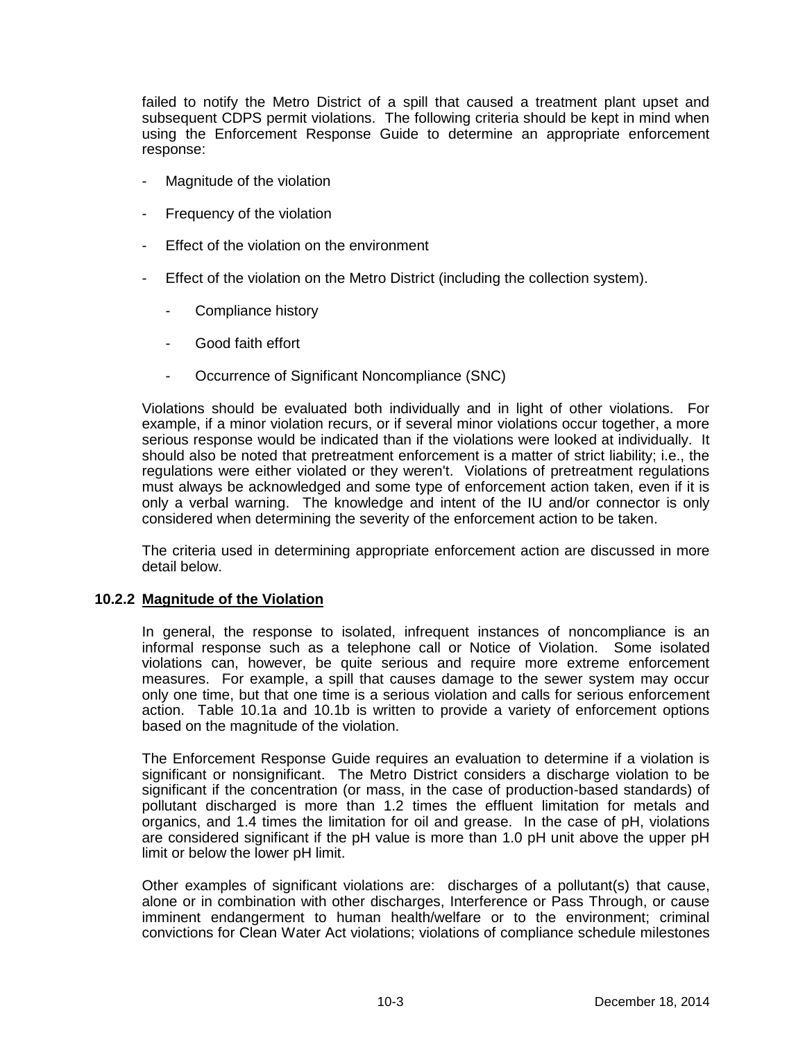failed to notify the Metro District of a spill that caused a treatment plant upset and subsequent CDPS permit violations. The following criteria should be kept in mind when using the Enforcement Response Guide to determine an appropriate enforcement response:

- Magnitude of the violation
- Frequency of the violation
- Effect of the violation on the environment
- Effect of the violation on the Metro District (including the collection system).
	- Compliance history
	- Good faith effort
	- Occurrence of Significant Noncompliance (SNC)

Violations should be evaluated both individually and in light of other violations. For example, if a minor violation recurs, or if several minor violations occur together, a more serious response would be indicated than if the violations were looked at individually. It should also be noted that pretreatment enforcement is a matter of strict liability; i.e., the regulations were either violated or they weren't. Violations of pretreatment regulations must always be acknowledged and some type of enforcement action taken, even if it is only a verbal warning. The knowledge and intent of the IU and/or connector is only considered when determining the severity of the enforcement action to be taken.

The criteria used in determining appropriate enforcement action are discussed in more detail below.

#### **10.2.2 Magnitude of the Violation**

In general, the response to isolated, infrequent instances of noncompliance is an informal response such as a telephone call or Notice of Violation. Some isolated violations can, however, be quite serious and require more extreme enforcement measures. For example, a spill that causes damage to the sewer system may occur only one time, but that one time is a serious violation and calls for serious enforcement action. Table 10.1a and 10.1b is written to provide a variety of enforcement options based on the magnitude of the violation.

The Enforcement Response Guide requires an evaluation to determine if a violation is significant or nonsignificant. The Metro District considers a discharge violation to be significant if the concentration (or mass, in the case of production-based standards) of pollutant discharged is more than 1.2 times the effluent limitation for metals and organics, and 1.4 times the limitation for oil and grease. In the case of pH, violations are considered significant if the pH value is more than 1.0 pH unit above the upper pH limit or below the lower pH limit.

Other examples of significant violations are: discharges of a pollutant(s) that cause, alone or in combination with other discharges, Interference or Pass Through, or cause imminent endangerment to human health/welfare or to the environment; criminal convictions for Clean Water Act violations; violations of compliance schedule milestones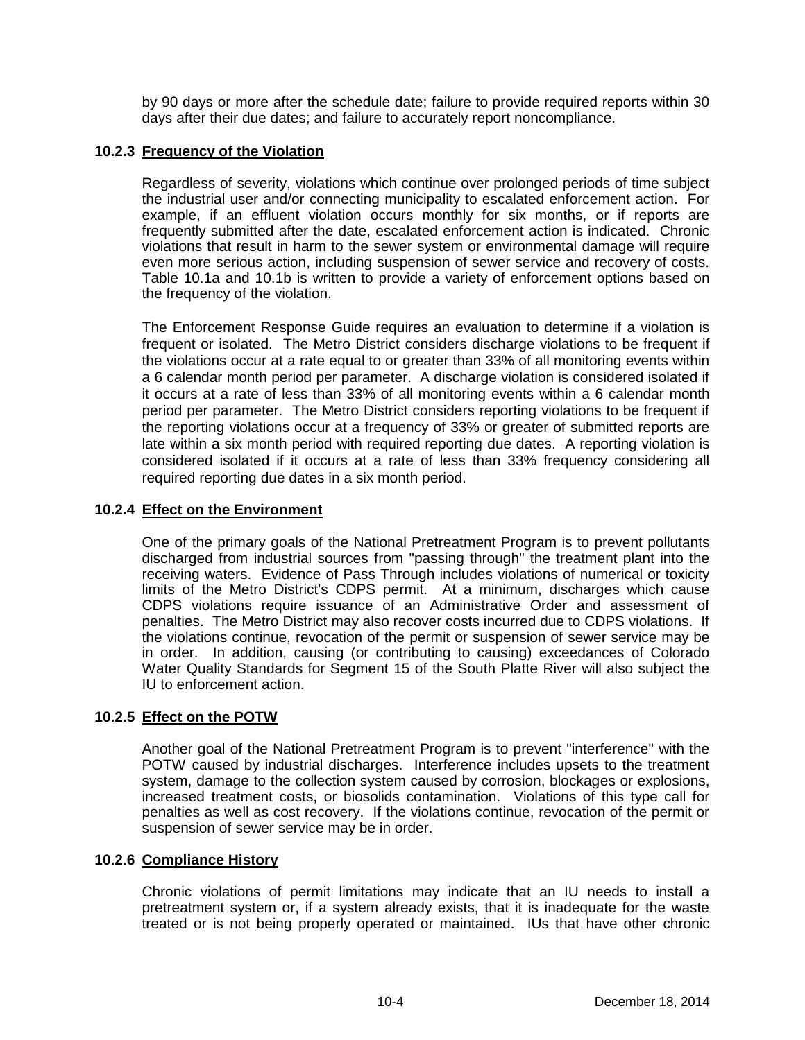by 90 days or more after the schedule date; failure to provide required reports within 30 days after their due dates; and failure to accurately report noncompliance.

# **10.2.3 Frequency of the Violation**

Regardless of severity, violations which continue over prolonged periods of time subject the industrial user and/or connecting municipality to escalated enforcement action. For example, if an effluent violation occurs monthly for six months, or if reports are frequently submitted after the date, escalated enforcement action is indicated. Chronic violations that result in harm to the sewer system or environmental damage will require even more serious action, including suspension of sewer service and recovery of costs. Table 10.1a and 10.1b is written to provide a variety of enforcement options based on the frequency of the violation.

The Enforcement Response Guide requires an evaluation to determine if a violation is frequent or isolated. The Metro District considers discharge violations to be frequent if the violations occur at a rate equal to or greater than 33% of all monitoring events within a 6 calendar month period per parameter. A discharge violation is considered isolated if it occurs at a rate of less than 33% of all monitoring events within a 6 calendar month period per parameter. The Metro District considers reporting violations to be frequent if the reporting violations occur at a frequency of 33% or greater of submitted reports are late within a six month period with required reporting due dates. A reporting violation is considered isolated if it occurs at a rate of less than 33% frequency considering all required reporting due dates in a six month period.

## **10.2.4 Effect on the Environment**

One of the primary goals of the National Pretreatment Program is to prevent pollutants discharged from industrial sources from "passing through" the treatment plant into the receiving waters. Evidence of Pass Through includes violations of numerical or toxicity limits of the Metro District's CDPS permit. At a minimum, discharges which cause CDPS violations require issuance of an Administrative Order and assessment of penalties. The Metro District may also recover costs incurred due to CDPS violations. If the violations continue, revocation of the permit or suspension of sewer service may be in order. In addition, causing (or contributing to causing) exceedances of Colorado Water Quality Standards for Segment 15 of the South Platte River will also subject the IU to enforcement action.

# **10.2.5 Effect on the POTW**

Another goal of the National Pretreatment Program is to prevent "interference" with the POTW caused by industrial discharges. Interference includes upsets to the treatment system, damage to the collection system caused by corrosion, blockages or explosions, increased treatment costs, or biosolids contamination. Violations of this type call for penalties as well as cost recovery. If the violations continue, revocation of the permit or suspension of sewer service may be in order.

#### **10.2.6 Compliance History**

Chronic violations of permit limitations may indicate that an IU needs to install a pretreatment system or, if a system already exists, that it is inadequate for the waste treated or is not being properly operated or maintained. IUs that have other chronic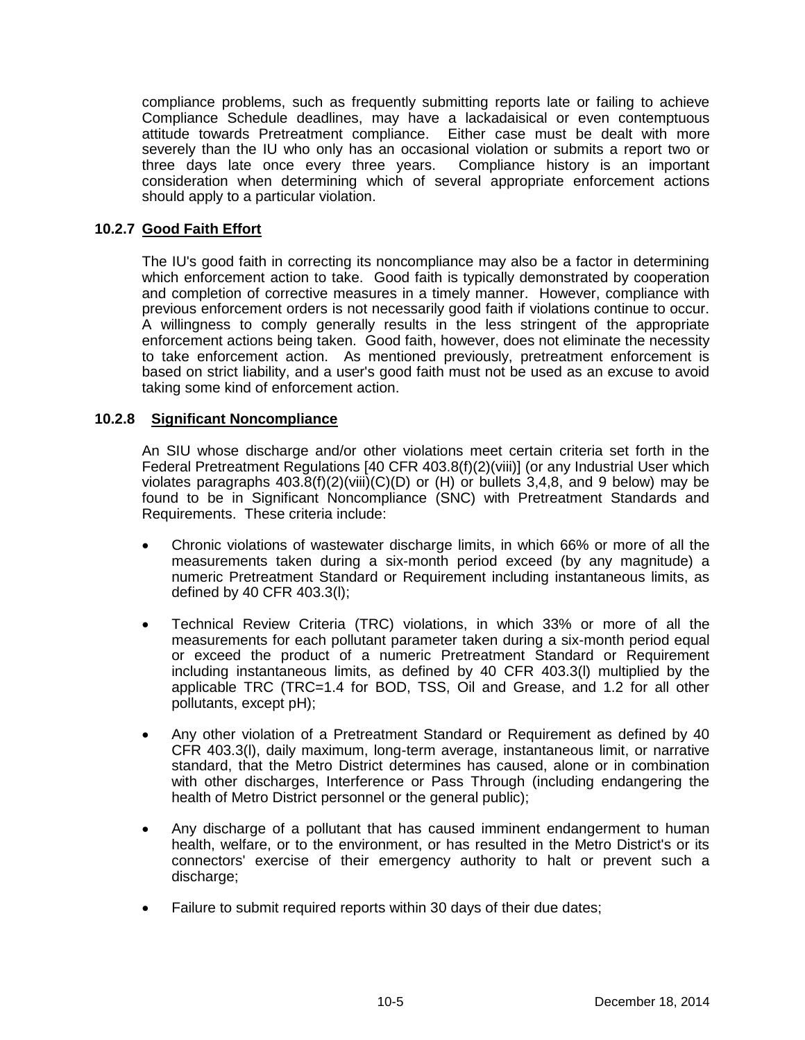compliance problems, such as frequently submitting reports late or failing to achieve Compliance Schedule deadlines, may have a lackadaisical or even contemptuous attitude towards Pretreatment compliance. Either case must be dealt with more severely than the IU who only has an occasional violation or submits a report two or three days late once every three years. Compliance history is an important consideration when determining which of several appropriate enforcement actions should apply to a particular violation.

# **10.2.7 Good Faith Effort**

The IU's good faith in correcting its noncompliance may also be a factor in determining which enforcement action to take. Good faith is typically demonstrated by cooperation and completion of corrective measures in a timely manner. However, compliance with previous enforcement orders is not necessarily good faith if violations continue to occur. A willingness to comply generally results in the less stringent of the appropriate enforcement actions being taken. Good faith, however, does not eliminate the necessity to take enforcement action. As mentioned previously, pretreatment enforcement is based on strict liability, and a user's good faith must not be used as an excuse to avoid taking some kind of enforcement action.

## **10.2.8 Significant Noncompliance**

An SIU whose discharge and/or other violations meet certain criteria set forth in the Federal Pretreatment Regulations [40 CFR 403.8(f)(2)(viii)] (or any Industrial User which violates paragraphs  $403.8(f)(2)(viii)(C)(D)$  or (H) or bullets 3,4,8, and 9 below) may be found to be in Significant Noncompliance (SNC) with Pretreatment Standards and Requirements. These criteria include:

- Chronic violations of wastewater discharge limits, in which 66% or more of all the measurements taken during a six-month period exceed (by any magnitude) a numeric Pretreatment Standard or Requirement including instantaneous limits, as defined by 40 CFR 403.3(l);
- Technical Review Criteria (TRC) violations, in which 33% or more of all the measurements for each pollutant parameter taken during a six-month period equal or exceed the product of a numeric Pretreatment Standard or Requirement including instantaneous limits, as defined by 40 CFR 403.3(l) multiplied by the applicable TRC (TRC=1.4 for BOD, TSS, Oil and Grease, and 1.2 for all other pollutants, except pH);
- Any other violation of a Pretreatment Standard or Requirement as defined by 40 CFR 403.3(l), daily maximum, long-term average, instantaneous limit, or narrative standard, that the Metro District determines has caused, alone or in combination with other discharges, Interference or Pass Through (including endangering the health of Metro District personnel or the general public);
- Any discharge of a pollutant that has caused imminent endangerment to human health, welfare, or to the environment, or has resulted in the Metro District's or its connectors' exercise of their emergency authority to halt or prevent such a discharge;
- Failure to submit required reports within 30 days of their due dates;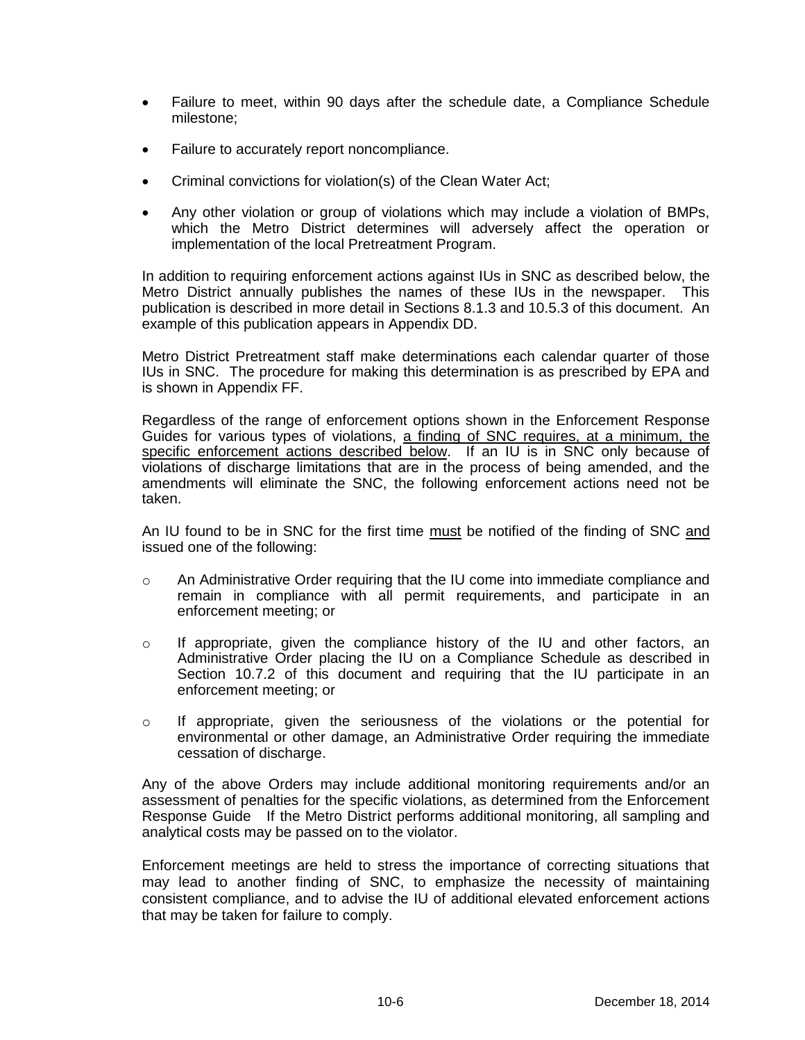- Failure to meet, within 90 days after the schedule date, a Compliance Schedule milestone;
- Failure to accurately report noncompliance.
- Criminal convictions for violation(s) of the Clean Water Act;
- Any other violation or group of violations which may include a violation of BMPs, which the Metro District determines will adversely affect the operation or implementation of the local Pretreatment Program.

In addition to requiring enforcement actions against IUs in SNC as described below, the Metro District annually publishes the names of these IUs in the newspaper. This publication is described in more detail in Sections 8.1.3 and 10.5.3 of this document. An example of this publication appears in Appendix DD.

Metro District Pretreatment staff make determinations each calendar quarter of those IUs in SNC. The procedure for making this determination is as prescribed by EPA and is shown in Appendix FF.

Regardless of the range of enforcement options shown in the Enforcement Response Guides for various types of violations, a finding of SNC requires, at a minimum, the specific enforcement actions described below. If an IU is in SNC only because of violations of discharge limitations that are in the process of being amended, and the amendments will eliminate the SNC, the following enforcement actions need not be taken.

An IU found to be in SNC for the first time must be notified of the finding of SNC and issued one of the following:

- o An Administrative Order requiring that the IU come into immediate compliance and remain in compliance with all permit requirements, and participate in an enforcement meeting; or
- o If appropriate, given the compliance history of the IU and other factors, an Administrative Order placing the IU on a Compliance Schedule as described in Section 10.7.2 of this document and requiring that the IU participate in an enforcement meeting; or
- o If appropriate, given the seriousness of the violations or the potential for environmental or other damage, an Administrative Order requiring the immediate cessation of discharge.

Any of the above Orders may include additional monitoring requirements and/or an assessment of penalties for the specific violations, as determined from the Enforcement Response Guide If the Metro District performs additional monitoring, all sampling and analytical costs may be passed on to the violator.

Enforcement meetings are held to stress the importance of correcting situations that may lead to another finding of SNC, to emphasize the necessity of maintaining consistent compliance, and to advise the IU of additional elevated enforcement actions that may be taken for failure to comply.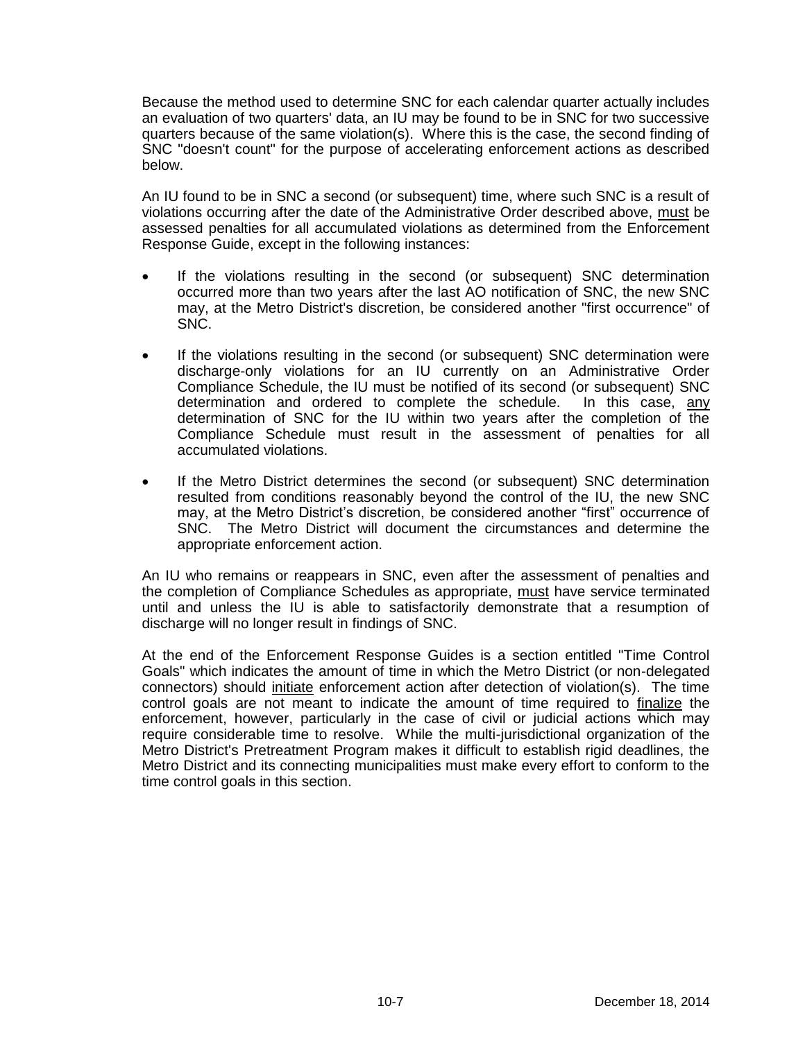Because the method used to determine SNC for each calendar quarter actually includes an evaluation of two quarters' data, an IU may be found to be in SNC for two successive quarters because of the same violation(s). Where this is the case, the second finding of SNC "doesn't count" for the purpose of accelerating enforcement actions as described below.

An IU found to be in SNC a second (or subsequent) time, where such SNC is a result of violations occurring after the date of the Administrative Order described above, must be assessed penalties for all accumulated violations as determined from the Enforcement Response Guide, except in the following instances:

- If the violations resulting in the second (or subsequent) SNC determination occurred more than two years after the last AO notification of SNC, the new SNC may, at the Metro District's discretion, be considered another "first occurrence" of SNC.
- If the violations resulting in the second (or subsequent) SNC determination were discharge-only violations for an IU currently on an Administrative Order Compliance Schedule, the IU must be notified of its second (or subsequent) SNC determination and ordered to complete the schedule. In this case, any determination of SNC for the IU within two years after the completion of the Compliance Schedule must result in the assessment of penalties for all accumulated violations.
- If the Metro District determines the second (or subsequent) SNC determination resulted from conditions reasonably beyond the control of the IU, the new SNC may, at the Metro District's discretion, be considered another "first" occurrence of SNC. The Metro District will document the circumstances and determine the appropriate enforcement action.

An IU who remains or reappears in SNC, even after the assessment of penalties and the completion of Compliance Schedules as appropriate, must have service terminated until and unless the IU is able to satisfactorily demonstrate that a resumption of discharge will no longer result in findings of SNC.

At the end of the Enforcement Response Guides is a section entitled "Time Control Goals" which indicates the amount of time in which the Metro District (or non-delegated connectors) should initiate enforcement action after detection of violation(s). The time control goals are not meant to indicate the amount of time required to finalize the enforcement, however, particularly in the case of civil or judicial actions which may require considerable time to resolve. While the multi-jurisdictional organization of the Metro District's Pretreatment Program makes it difficult to establish rigid deadlines, the Metro District and its connecting municipalities must make every effort to conform to the time control goals in this section.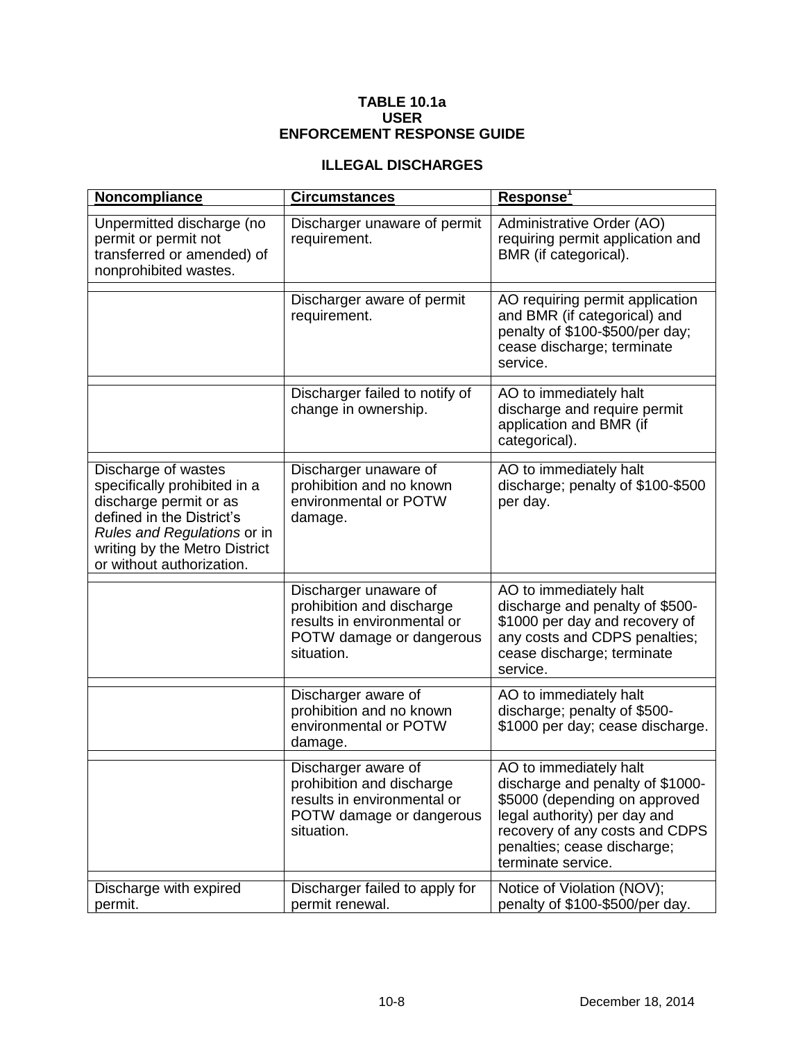#### **TABLE 10.1a USER ENFORCEMENT RESPONSE GUIDE**

#### **ILLEGAL DISCHARGES**

| Noncompliance                                                                                                                                                                                           | <b>Circumstances</b>                                                                                                        | Response <sup>1</sup>                                                                                                                                                                                              |
|---------------------------------------------------------------------------------------------------------------------------------------------------------------------------------------------------------|-----------------------------------------------------------------------------------------------------------------------------|--------------------------------------------------------------------------------------------------------------------------------------------------------------------------------------------------------------------|
| Unpermitted discharge (no<br>permit or permit not<br>transferred or amended) of<br>nonprohibited wastes.                                                                                                | Discharger unaware of permit<br>requirement.                                                                                | Administrative Order (AO)<br>requiring permit application and<br>BMR (if categorical).                                                                                                                             |
|                                                                                                                                                                                                         | Discharger aware of permit<br>requirement.                                                                                  | AO requiring permit application<br>and BMR (if categorical) and<br>penalty of \$100-\$500/per day;<br>cease discharge; terminate<br>service.                                                                       |
|                                                                                                                                                                                                         | Discharger failed to notify of<br>change in ownership.                                                                      | AO to immediately halt<br>discharge and require permit<br>application and BMR (if<br>categorical).                                                                                                                 |
| Discharge of wastes<br>specifically prohibited in a<br>discharge permit or as<br>defined in the District's<br>Rules and Regulations or in<br>writing by the Metro District<br>or without authorization. | Discharger unaware of<br>prohibition and no known<br>environmental or POTW<br>damage.                                       | AO to immediately halt<br>discharge; penalty of \$100-\$500<br>per day.                                                                                                                                            |
|                                                                                                                                                                                                         | Discharger unaware of<br>prohibition and discharge<br>results in environmental or<br>POTW damage or dangerous<br>situation. | AO to immediately halt<br>discharge and penalty of \$500-<br>\$1000 per day and recovery of<br>any costs and CDPS penalties;<br>cease discharge; terminate<br>service.                                             |
|                                                                                                                                                                                                         | Discharger aware of<br>prohibition and no known<br>environmental or POTW<br>damage.                                         | AO to immediately halt<br>discharge; penalty of \$500-<br>\$1000 per day; cease discharge.                                                                                                                         |
|                                                                                                                                                                                                         | Discharger aware of<br>prohibition and discharge<br>results in environmental or<br>POTW damage or dangerous<br>situation.   | AO to immediately halt<br>discharge and penalty of \$1000-<br>\$5000 (depending on approved<br>legal authority) per day and<br>recovery of any costs and CDPS<br>penalties; cease discharge;<br>terminate service. |
| Discharge with expired<br>permit.                                                                                                                                                                       | Discharger failed to apply for<br>permit renewal.                                                                           | Notice of Violation (NOV);<br>penalty of \$100-\$500/per day.                                                                                                                                                      |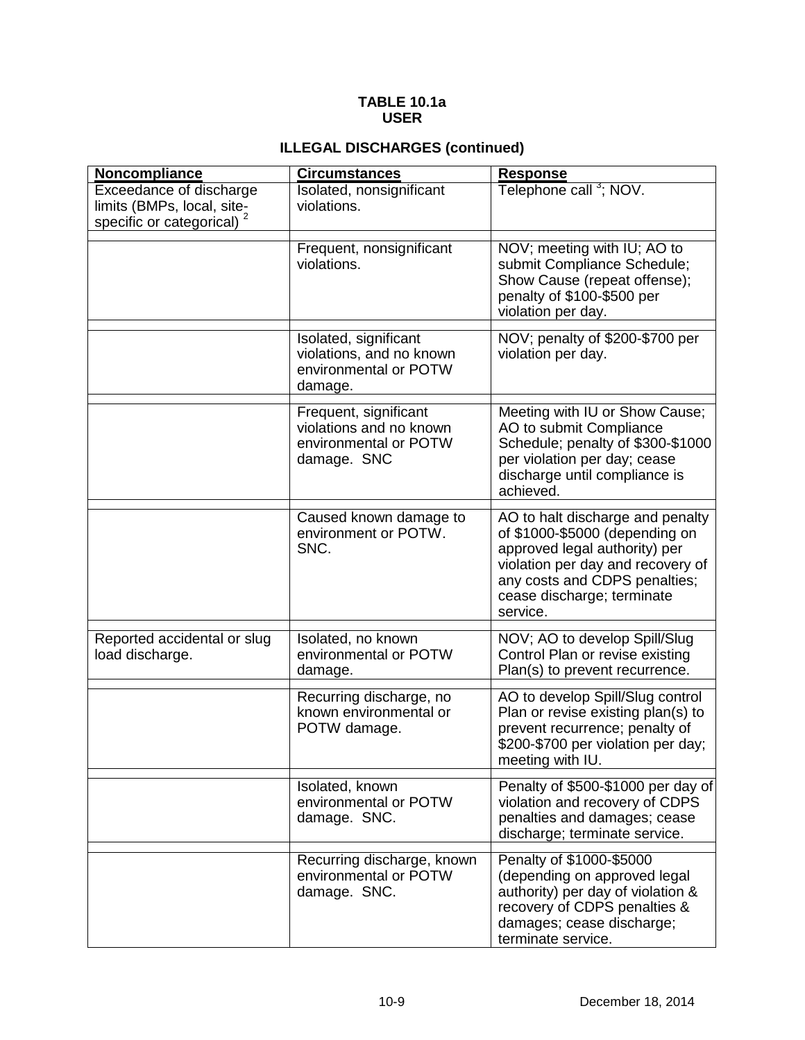#### **TABLE 10.1a USER**

# **ILLEGAL DISCHARGES (continued)**

| <b>Noncompliance</b>                                                              | <b>Circumstances</b>                                                                     | <b>Response</b>                                                                                                                                                                                                     |
|-----------------------------------------------------------------------------------|------------------------------------------------------------------------------------------|---------------------------------------------------------------------------------------------------------------------------------------------------------------------------------------------------------------------|
| Exceedance of discharge<br>limits (BMPs, local, site-<br>specific or categorical) | Isolated, nonsignificant<br>violations.                                                  | Telephone call <sup>3</sup> ; NOV.                                                                                                                                                                                  |
|                                                                                   | Frequent, nonsignificant<br>violations.                                                  | NOV; meeting with IU; AO to<br>submit Compliance Schedule;<br>Show Cause (repeat offense);<br>penalty of \$100-\$500 per<br>violation per day.                                                                      |
|                                                                                   | Isolated, significant<br>violations, and no known<br>environmental or POTW<br>damage.    | NOV; penalty of \$200-\$700 per<br>violation per day.                                                                                                                                                               |
|                                                                                   | Frequent, significant<br>violations and no known<br>environmental or POTW<br>damage. SNC | Meeting with IU or Show Cause;<br>AO to submit Compliance<br>Schedule; penalty of \$300-\$1000<br>per violation per day; cease<br>discharge until compliance is<br>achieved.                                        |
|                                                                                   | Caused known damage to<br>environment or POTW.<br>SNC.                                   | AO to halt discharge and penalty<br>of \$1000-\$5000 (depending on<br>approved legal authority) per<br>violation per day and recovery of<br>any costs and CDPS penalties;<br>cease discharge; terminate<br>service. |
| Reported accidental or slug<br>load discharge.                                    | Isolated, no known<br>environmental or POTW<br>damage.                                   | NOV; AO to develop Spill/Slug<br>Control Plan or revise existing<br>Plan(s) to prevent recurrence.                                                                                                                  |
|                                                                                   | Recurring discharge, no<br>known environmental or<br>POTW damage.                        | AO to develop Spill/Slug control<br>Plan or revise existing plan(s) to<br>prevent recurrence; penalty of<br>\$200-\$700 per violation per day;<br>meeting with IU.                                                  |
|                                                                                   | Isolated, known<br>environmental or POTW<br>damage. SNC.                                 | Penalty of \$500-\$1000 per day of<br>violation and recovery of CDPS<br>penalties and damages; cease<br>discharge; terminate service.                                                                               |
|                                                                                   | Recurring discharge, known<br>environmental or POTW<br>damage. SNC.                      | Penalty of \$1000-\$5000<br>(depending on approved legal<br>authority) per day of violation &<br>recovery of CDPS penalties &<br>damages; cease discharge;<br>terminate service.                                    |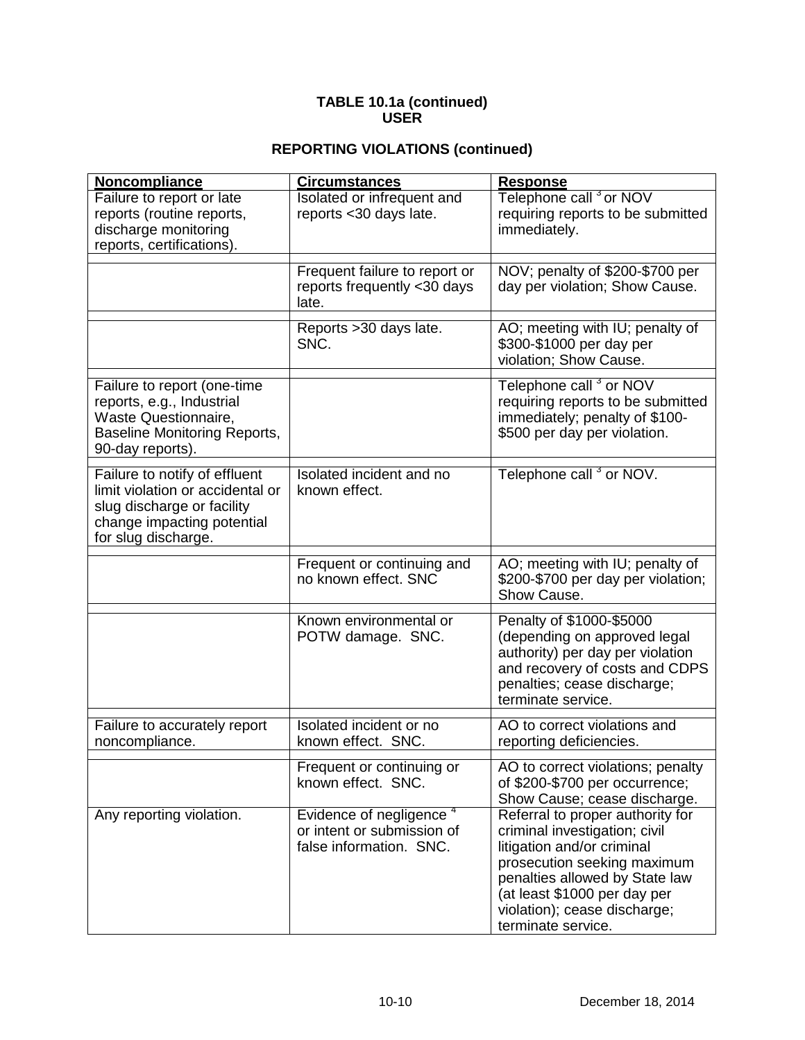# **REPORTING VIOLATIONS (continued)**

| Noncompliance                                                                                                                                        | <b>Circumstances</b>                                                                         | <b>Response</b>                                                                                                                                                                                                                                        |
|------------------------------------------------------------------------------------------------------------------------------------------------------|----------------------------------------------------------------------------------------------|--------------------------------------------------------------------------------------------------------------------------------------------------------------------------------------------------------------------------------------------------------|
| Failure to report or late<br>reports (routine reports,<br>discharge monitoring<br>reports, certifications).                                          | <b>Isolated or infrequent and</b><br>reports < 30 days late.                                 | Telephone call <sup>3</sup> or NOV<br>requiring reports to be submitted<br>immediately.                                                                                                                                                                |
|                                                                                                                                                      | Frequent failure to report or<br>reports frequently <30 days<br>late.                        | NOV; penalty of \$200-\$700 per<br>day per violation; Show Cause.                                                                                                                                                                                      |
|                                                                                                                                                      | Reports > 30 days late.<br>SNC.                                                              | AO; meeting with IU; penalty of<br>\$300-\$1000 per day per<br>violation; Show Cause.                                                                                                                                                                  |
| Failure to report (one-time<br>reports, e.g., Industrial<br>Waste Questionnaire,<br><b>Baseline Monitoring Reports,</b><br>90-day reports).          |                                                                                              | Telephone call <sup>3</sup> or NOV<br>requiring reports to be submitted<br>immediately; penalty of \$100-<br>\$500 per day per violation.                                                                                                              |
| Failure to notify of effluent<br>limit violation or accidental or<br>slug discharge or facility<br>change impacting potential<br>for slug discharge. | Isolated incident and no<br>known effect.                                                    | Telephone call <sup>3</sup> or NOV.                                                                                                                                                                                                                    |
|                                                                                                                                                      | Frequent or continuing and<br>no known effect. SNC                                           | AO; meeting with IU; penalty of<br>\$200-\$700 per day per violation;<br>Show Cause.                                                                                                                                                                   |
|                                                                                                                                                      | Known environmental or<br>POTW damage. SNC.                                                  | Penalty of \$1000-\$5000<br>(depending on approved legal<br>authority) per day per violation<br>and recovery of costs and CDPS<br>penalties; cease discharge;<br>terminate service.                                                                    |
| Failure to accurately report<br>noncompliance.                                                                                                       | Isolated incident or no<br>known effect. SNC.                                                | AO to correct violations and<br>reporting deficiencies.                                                                                                                                                                                                |
|                                                                                                                                                      | Frequent or continuing or<br>known effect. SNC.                                              | AO to correct violations; penalty<br>of \$200-\$700 per occurrence;<br>Show Cause; cease discharge.                                                                                                                                                    |
| Any reporting violation.                                                                                                                             | Evidence of negligence <sup>4</sup><br>or intent or submission of<br>false information. SNC. | Referral to proper authority for<br>criminal investigation; civil<br>litigation and/or criminal<br>prosecution seeking maximum<br>penalties allowed by State law<br>(at least \$1000 per day per<br>violation); cease discharge;<br>terminate service. |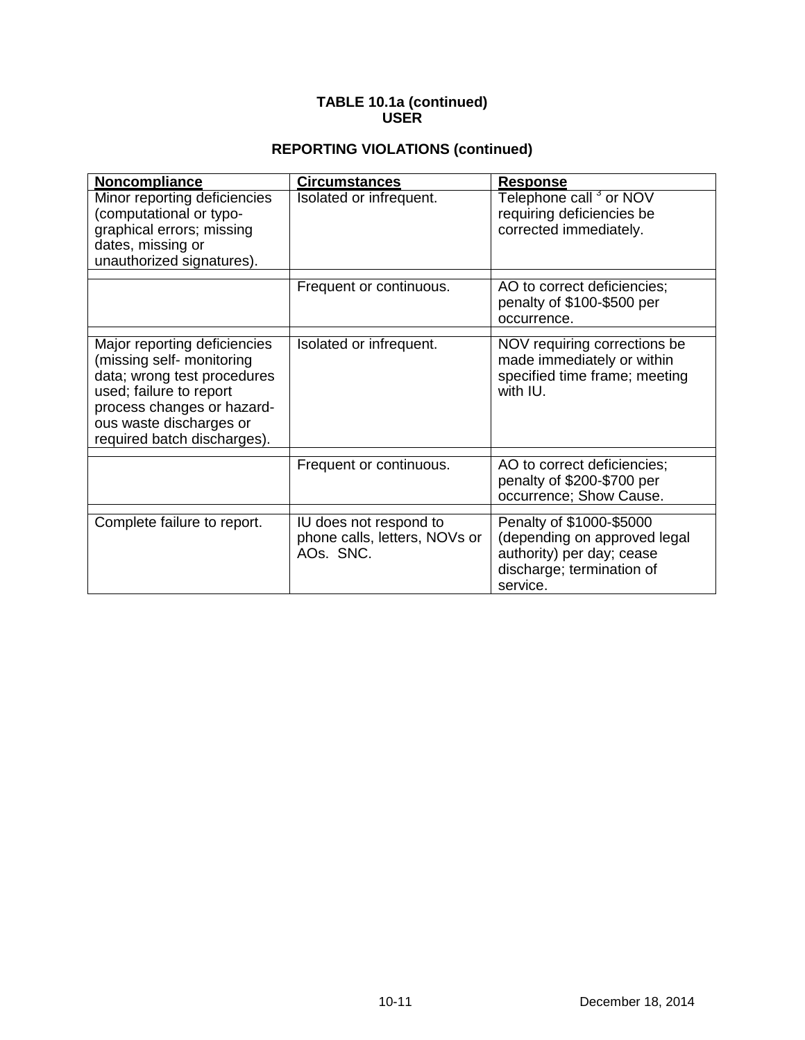# **REPORTING VIOLATIONS (continued)**

| Noncompliance                                                                                                                                                                                               | <b>Circumstances</b>                                                 | <b>Response</b>                                                                                                                |
|-------------------------------------------------------------------------------------------------------------------------------------------------------------------------------------------------------------|----------------------------------------------------------------------|--------------------------------------------------------------------------------------------------------------------------------|
| Minor reporting deficiencies<br>(computational or typo-<br>graphical errors; missing<br>dates, missing or<br>unauthorized signatures).                                                                      | Isolated or infrequent.                                              | Telephone call <sup>3</sup> or NOV<br>requiring deficiencies be<br>corrected immediately.                                      |
|                                                                                                                                                                                                             | Frequent or continuous.                                              | AO to correct deficiencies;<br>penalty of \$100-\$500 per<br>occurrence.                                                       |
| Major reporting deficiencies<br>(missing self- monitoring<br>data; wrong test procedures<br>used; failure to report<br>process changes or hazard-<br>ous waste discharges or<br>required batch discharges). | Isolated or infrequent.                                              | NOV requiring corrections be<br>made immediately or within<br>specified time frame; meeting<br>with IU.                        |
|                                                                                                                                                                                                             | Frequent or continuous.                                              | AO to correct deficiencies;<br>penalty of \$200-\$700 per<br>occurrence; Show Cause.                                           |
| Complete failure to report.                                                                                                                                                                                 | IU does not respond to<br>phone calls, letters, NOVs or<br>AOs. SNC. | Penalty of \$1000-\$5000<br>(depending on approved legal<br>authority) per day; cease<br>discharge; termination of<br>service. |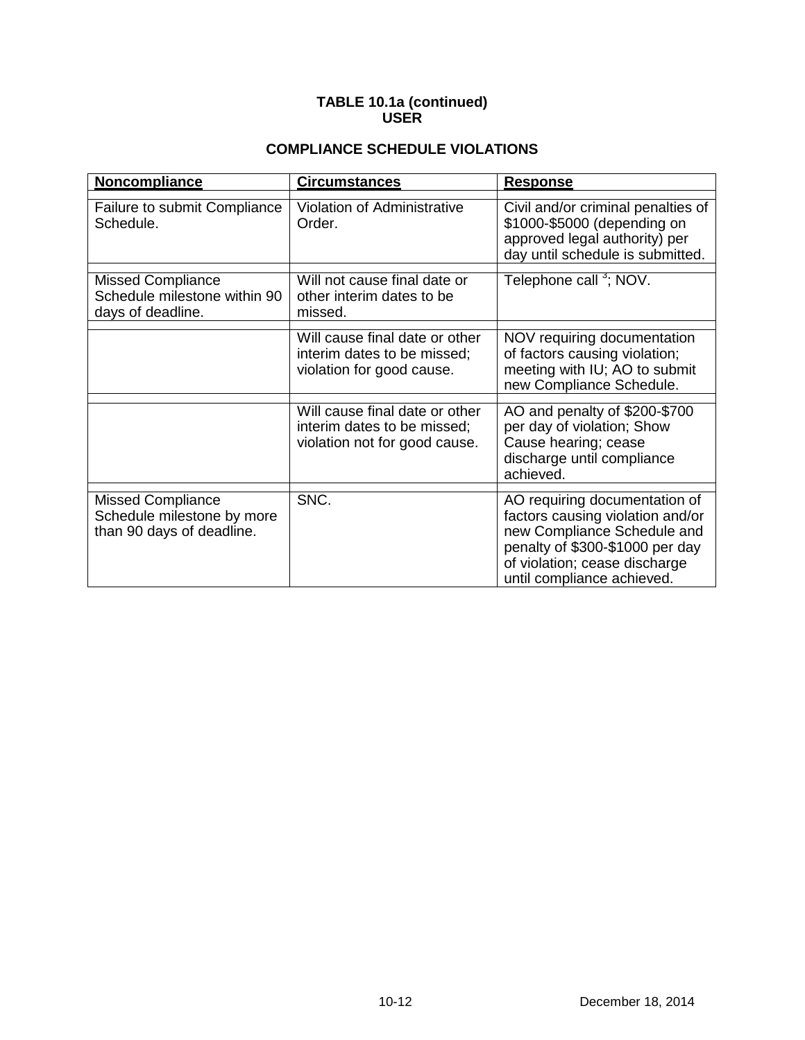# **COMPLIANCE SCHEDULE VIOLATIONS**

| Noncompliance                                                                       | <b>Circumstances</b>                                                                           | <b>Response</b>                                                                                                                                                                                    |
|-------------------------------------------------------------------------------------|------------------------------------------------------------------------------------------------|----------------------------------------------------------------------------------------------------------------------------------------------------------------------------------------------------|
| Failure to submit Compliance<br>Schedule.                                           | <b>Violation of Administrative</b><br>Order.                                                   | Civil and/or criminal penalties of<br>\$1000-\$5000 (depending on<br>approved legal authority) per<br>day until schedule is submitted.                                                             |
| <b>Missed Compliance</b><br>Schedule milestone within 90<br>days of deadline.       | Will not cause final date or<br>other interim dates to be<br>missed.                           | Telephone call <sup>3</sup> ; NOV.                                                                                                                                                                 |
|                                                                                     | Will cause final date or other<br>interim dates to be missed;<br>violation for good cause.     | NOV requiring documentation<br>of factors causing violation;<br>meeting with IU; AO to submit<br>new Compliance Schedule.                                                                          |
|                                                                                     | Will cause final date or other<br>interim dates to be missed;<br>violation not for good cause. | AO and penalty of \$200-\$700<br>per day of violation; Show<br>Cause hearing; cease<br>discharge until compliance<br>achieved.                                                                     |
| <b>Missed Compliance</b><br>Schedule milestone by more<br>than 90 days of deadline. | SNC.                                                                                           | AO requiring documentation of<br>factors causing violation and/or<br>new Compliance Schedule and<br>penalty of \$300-\$1000 per day<br>of violation; cease discharge<br>until compliance achieved. |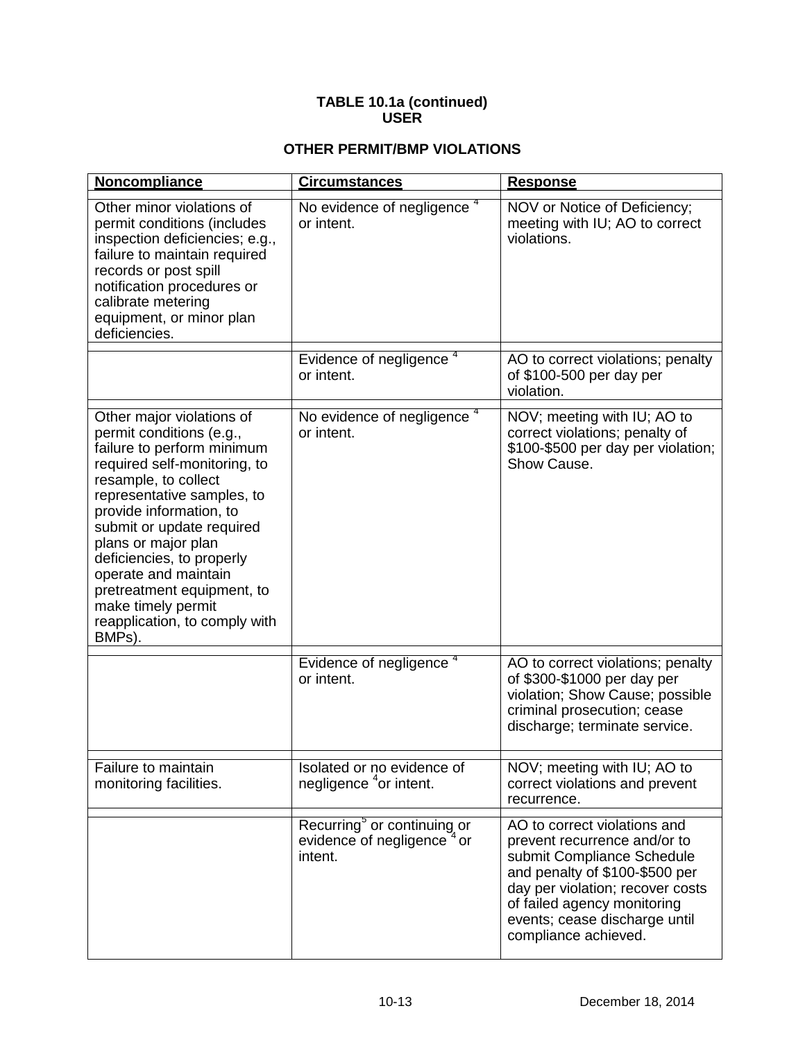# **OTHER PERMIT/BMP VIOLATIONS**

| Noncompliance                                                                                                                                                                                                                                                                                                                                                                                                | <b>Circumstances</b>                                                                         | <b>Response</b>                                                                                                                                                                                                                                          |
|--------------------------------------------------------------------------------------------------------------------------------------------------------------------------------------------------------------------------------------------------------------------------------------------------------------------------------------------------------------------------------------------------------------|----------------------------------------------------------------------------------------------|----------------------------------------------------------------------------------------------------------------------------------------------------------------------------------------------------------------------------------------------------------|
| Other minor violations of<br>permit conditions (includes<br>inspection deficiencies; e.g.,<br>failure to maintain required<br>records or post spill<br>notification procedures or<br>calibrate metering<br>equipment, or minor plan<br>deficiencies.                                                                                                                                                         | No evidence of negligence <sup>4</sup><br>or intent.                                         | NOV or Notice of Deficiency;<br>meeting with IU; AO to correct<br>violations.                                                                                                                                                                            |
|                                                                                                                                                                                                                                                                                                                                                                                                              | Evidence of negligence <sup>4</sup><br>or intent.                                            | AO to correct violations; penalty<br>of \$100-500 per day per<br>violation.                                                                                                                                                                              |
| Other major violations of<br>permit conditions (e.g.,<br>failure to perform minimum<br>required self-monitoring, to<br>resample, to collect<br>representative samples, to<br>provide information, to<br>submit or update required<br>plans or major plan<br>deficiencies, to properly<br>operate and maintain<br>pretreatment equipment, to<br>make timely permit<br>reapplication, to comply with<br>BMPs). | No evidence of negligence <sup>4</sup><br>or intent.                                         | NOV; meeting with IU; AO to<br>correct violations; penalty of<br>\$100-\$500 per day per violation;<br>Show Cause.                                                                                                                                       |
|                                                                                                                                                                                                                                                                                                                                                                                                              | Evidence of negligence <sup>4</sup><br>or intent.                                            | AO to correct violations; penalty<br>of \$300-\$1000 per day per<br>violation; Show Cause; possible<br>criminal prosecution; cease<br>discharge; terminate service.                                                                                      |
| Failure to maintain<br>monitoring facilities.                                                                                                                                                                                                                                                                                                                                                                | Isolated or no evidence of<br>negligence <sup>4</sup> or intent.                             | NOV; meeting with IU; AO to<br>correct violations and prevent<br>recurrence.                                                                                                                                                                             |
|                                                                                                                                                                                                                                                                                                                                                                                                              | Recurring <sup>5</sup> or continuing or<br>evidence of negligence <sup>4</sup> or<br>intent. | AO to correct violations and<br>prevent recurrence and/or to<br>submit Compliance Schedule<br>and penalty of \$100-\$500 per<br>day per violation; recover costs<br>of failed agency monitoring<br>events; cease discharge until<br>compliance achieved. |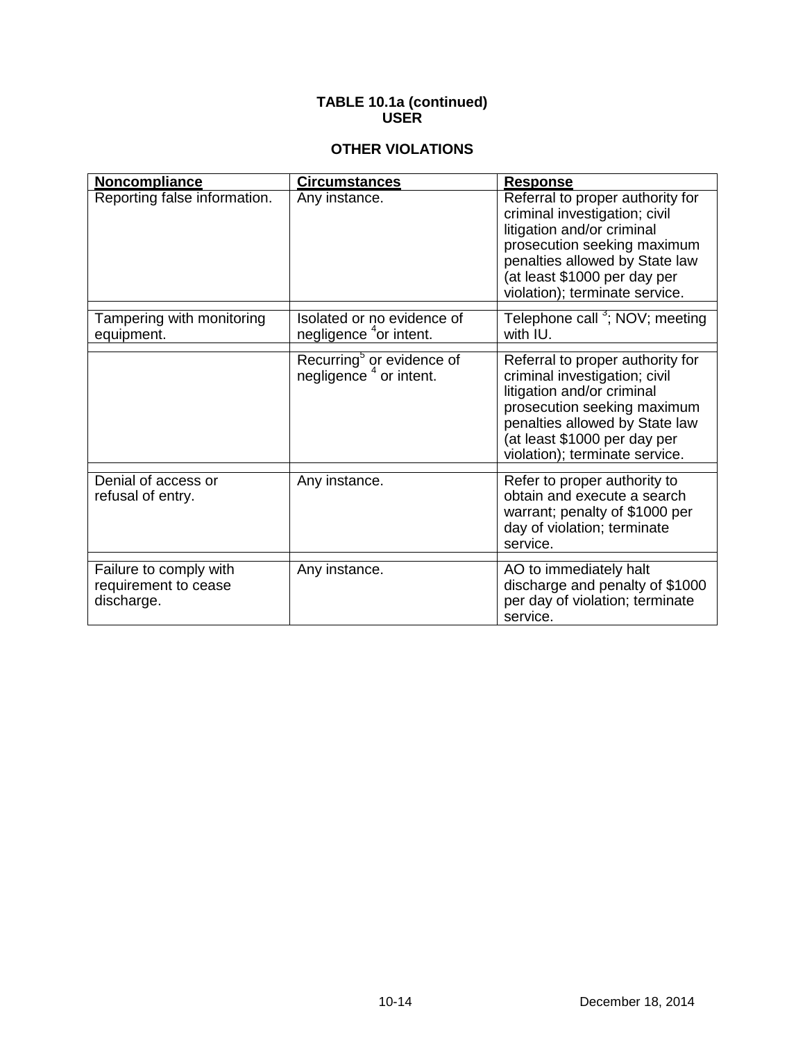# **OTHER VIOLATIONS**

| Noncompliance                                                | <b>Circumstances</b>                                                        | <b>Response</b>                                                                                                                                                                                                                    |
|--------------------------------------------------------------|-----------------------------------------------------------------------------|------------------------------------------------------------------------------------------------------------------------------------------------------------------------------------------------------------------------------------|
| Reporting false information.                                 | Any instance.                                                               | Referral to proper authority for<br>criminal investigation; civil<br>litigation and/or criminal<br>prosecution seeking maximum<br>penalties allowed by State law<br>(at least \$1000 per day per<br>violation); terminate service. |
| Tampering with monitoring<br>equipment.                      | Isolated or no evidence of<br>negligence <sup>4</sup> or intent.            | Telephone call <sup>3</sup> ; NOV; meeting<br>with IU.                                                                                                                                                                             |
|                                                              | Recurring <sup>5</sup> or evidence of<br>negligence <sup>4</sup> or intent. | Referral to proper authority for<br>criminal investigation; civil<br>litigation and/or criminal<br>prosecution seeking maximum<br>penalties allowed by State law<br>(at least \$1000 per day per<br>violation); terminate service. |
| Denial of access or<br>refusal of entry.                     | Any instance.                                                               | Refer to proper authority to<br>obtain and execute a search<br>warrant; penalty of \$1000 per<br>day of violation; terminate<br>service.                                                                                           |
| Failure to comply with<br>requirement to cease<br>discharge. | Any instance.                                                               | AO to immediately halt<br>discharge and penalty of \$1000<br>per day of violation; terminate<br>service.                                                                                                                           |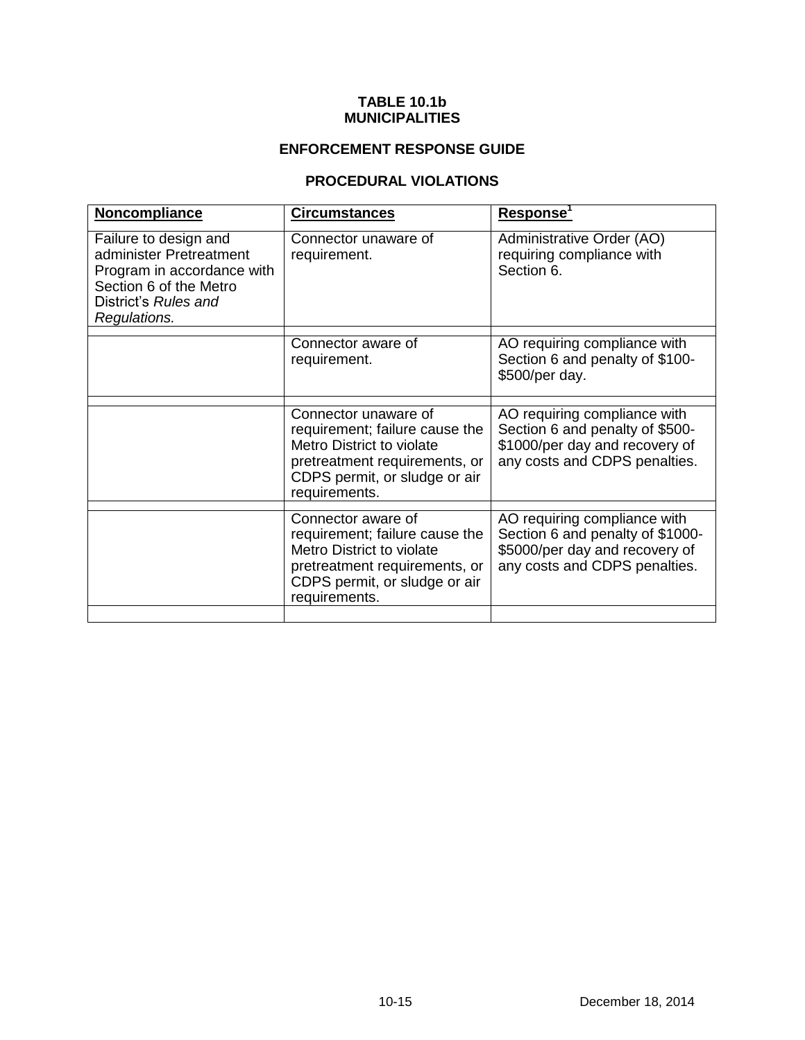#### **TABLE 10.1b MUNICIPALITIES**

# **ENFORCEMENT RESPONSE GUIDE**

# **PROCEDURAL VIOLATIONS**

| Noncompliance                                                                                                                                    | <b>Circumstances</b>                                                                                                                                                   | Response'                                                                                                                           |
|--------------------------------------------------------------------------------------------------------------------------------------------------|------------------------------------------------------------------------------------------------------------------------------------------------------------------------|-------------------------------------------------------------------------------------------------------------------------------------|
| Failure to design and<br>administer Pretreatment<br>Program in accordance with<br>Section 6 of the Metro<br>District's Rules and<br>Regulations. | Connector unaware of<br>requirement.                                                                                                                                   | Administrative Order (AO)<br>requiring compliance with<br>Section 6.                                                                |
|                                                                                                                                                  | Connector aware of<br>requirement.                                                                                                                                     | AO requiring compliance with<br>Section 6 and penalty of \$100-<br>\$500/per day.                                                   |
|                                                                                                                                                  | Connector unaware of<br>requirement; failure cause the<br>Metro District to violate<br>pretreatment requirements, or<br>CDPS permit, or sludge or air<br>requirements. | AO requiring compliance with<br>Section 6 and penalty of \$500-<br>\$1000/per day and recovery of<br>any costs and CDPS penalties.  |
|                                                                                                                                                  | Connector aware of<br>requirement; failure cause the<br>Metro District to violate<br>pretreatment requirements, or<br>CDPS permit, or sludge or air<br>requirements.   | AO requiring compliance with<br>Section 6 and penalty of \$1000-<br>\$5000/per day and recovery of<br>any costs and CDPS penalties. |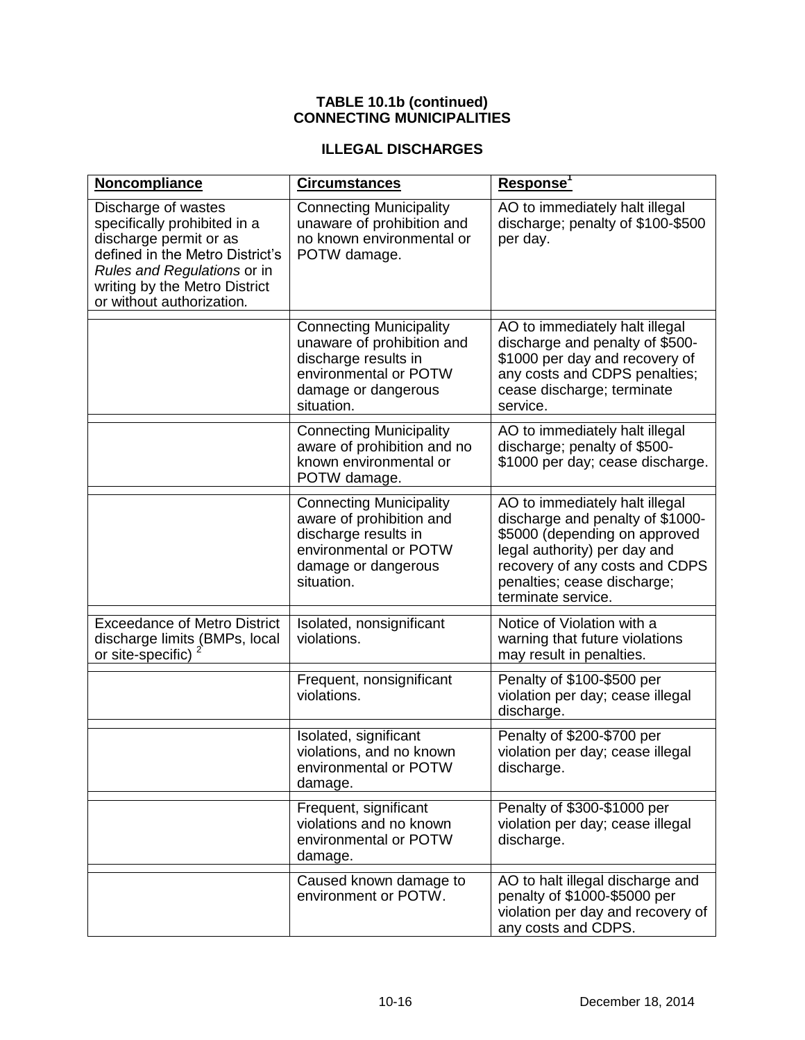#### **TABLE 10.1b (continued) CONNECTING MUNICIPALITIES**

# **ILLEGAL DISCHARGES**

| Noncompliance                                                                                                                                                                                                 | <b>Circumstances</b>                                                                                                                               | <u>Response'</u>                                                                                                                                                                                                           |
|---------------------------------------------------------------------------------------------------------------------------------------------------------------------------------------------------------------|----------------------------------------------------------------------------------------------------------------------------------------------------|----------------------------------------------------------------------------------------------------------------------------------------------------------------------------------------------------------------------------|
| Discharge of wastes<br>specifically prohibited in a<br>discharge permit or as<br>defined in the Metro District's<br>Rules and Regulations or in<br>writing by the Metro District<br>or without authorization. | <b>Connecting Municipality</b><br>unaware of prohibition and<br>no known environmental or<br>POTW damage.                                          | AO to immediately halt illegal<br>discharge; penalty of \$100-\$500<br>per day.                                                                                                                                            |
|                                                                                                                                                                                                               | <b>Connecting Municipality</b><br>unaware of prohibition and<br>discharge results in<br>environmental or POTW<br>damage or dangerous<br>situation. | AO to immediately halt illegal<br>discharge and penalty of \$500-<br>\$1000 per day and recovery of<br>any costs and CDPS penalties;<br>cease discharge; terminate<br>service.                                             |
|                                                                                                                                                                                                               | <b>Connecting Municipality</b><br>aware of prohibition and no<br>known environmental or<br>POTW damage.                                            | AO to immediately halt illegal<br>discharge; penalty of \$500-<br>\$1000 per day; cease discharge.                                                                                                                         |
|                                                                                                                                                                                                               | <b>Connecting Municipality</b><br>aware of prohibition and<br>discharge results in<br>environmental or POTW<br>damage or dangerous<br>situation.   | AO to immediately halt illegal<br>discharge and penalty of \$1000-<br>\$5000 (depending on approved<br>legal authority) per day and<br>recovery of any costs and CDPS<br>penalties; cease discharge;<br>terminate service. |
| <b>Exceedance of Metro District</b><br>discharge limits (BMPs, local<br>or site-specific)                                                                                                                     | Isolated, nonsignificant<br>violations.                                                                                                            | Notice of Violation with a<br>warning that future violations<br>may result in penalties.                                                                                                                                   |
|                                                                                                                                                                                                               | Frequent, nonsignificant<br>violations.                                                                                                            | Penalty of \$100-\$500 per<br>violation per day; cease illegal<br>discharge.                                                                                                                                               |
|                                                                                                                                                                                                               | Isolated, significant<br>violations, and no known<br>environmental or POTW<br>damage.                                                              | Penalty of \$200-\$700 per<br>violation per day; cease illegal<br>discharge.                                                                                                                                               |
|                                                                                                                                                                                                               | Frequent, significant<br>violations and no known<br>environmental or POTW<br>damage.                                                               | Penalty of \$300-\$1000 per<br>violation per day; cease illegal<br>discharge.                                                                                                                                              |
|                                                                                                                                                                                                               | Caused known damage to<br>environment or POTW.                                                                                                     | AO to halt illegal discharge and<br>penalty of \$1000-\$5000 per<br>violation per day and recovery of<br>any costs and CDPS.                                                                                               |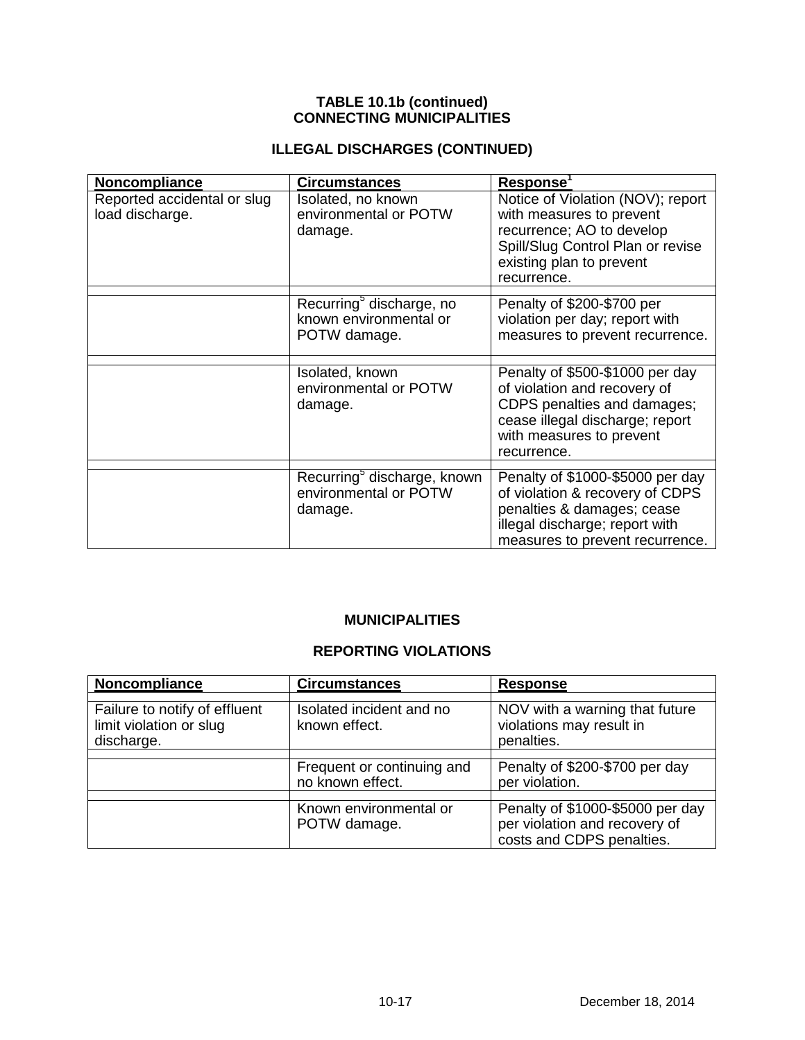#### **TABLE 10.1b (continued) CONNECTING MUNICIPALITIES**

# **ILLEGAL DISCHARGES (CONTINUED)**

| Noncompliance                                  | <b>Circumstances</b>                                                           | Response <sup>1</sup>                                                                                                                                                        |
|------------------------------------------------|--------------------------------------------------------------------------------|------------------------------------------------------------------------------------------------------------------------------------------------------------------------------|
| Reported accidental or slug<br>load discharge. | Isolated, no known<br>environmental or POTW<br>damage.                         | Notice of Violation (NOV); report<br>with measures to prevent<br>recurrence; AO to develop<br>Spill/Slug Control Plan or revise<br>existing plan to prevent<br>recurrence.   |
|                                                | Recurring <sup>5</sup> discharge, no<br>known environmental or<br>POTW damage. | Penalty of \$200-\$700 per<br>violation per day; report with<br>measures to prevent recurrence.                                                                              |
|                                                | Isolated, known<br>environmental or POTW<br>damage.                            | Penalty of \$500-\$1000 per day<br>of violation and recovery of<br>CDPS penalties and damages;<br>cease illegal discharge; report<br>with measures to prevent<br>recurrence. |
|                                                | Recurring <sup>o</sup> discharge, known<br>environmental or POTW<br>damage.    | Penalty of \$1000-\$5000 per day<br>of violation & recovery of CDPS<br>penalties & damages; cease<br>illegal discharge; report with<br>measures to prevent recurrence.       |

# **MUNICIPALITIES**

# **REPORTING VIOLATIONS**

| Noncompliance                                                          | <b>Circumstances</b>                           | <b>Response</b>                                                                                |
|------------------------------------------------------------------------|------------------------------------------------|------------------------------------------------------------------------------------------------|
| Failure to notify of effluent<br>limit violation or slug<br>discharge. | Isolated incident and no<br>known effect.      | NOV with a warning that future<br>violations may result in<br>penalties.                       |
|                                                                        | Frequent or continuing and<br>no known effect. | Penalty of \$200-\$700 per day<br>per violation.                                               |
|                                                                        | Known environmental or<br>POTW damage.         | Penalty of \$1000-\$5000 per day<br>per violation and recovery of<br>costs and CDPS penalties. |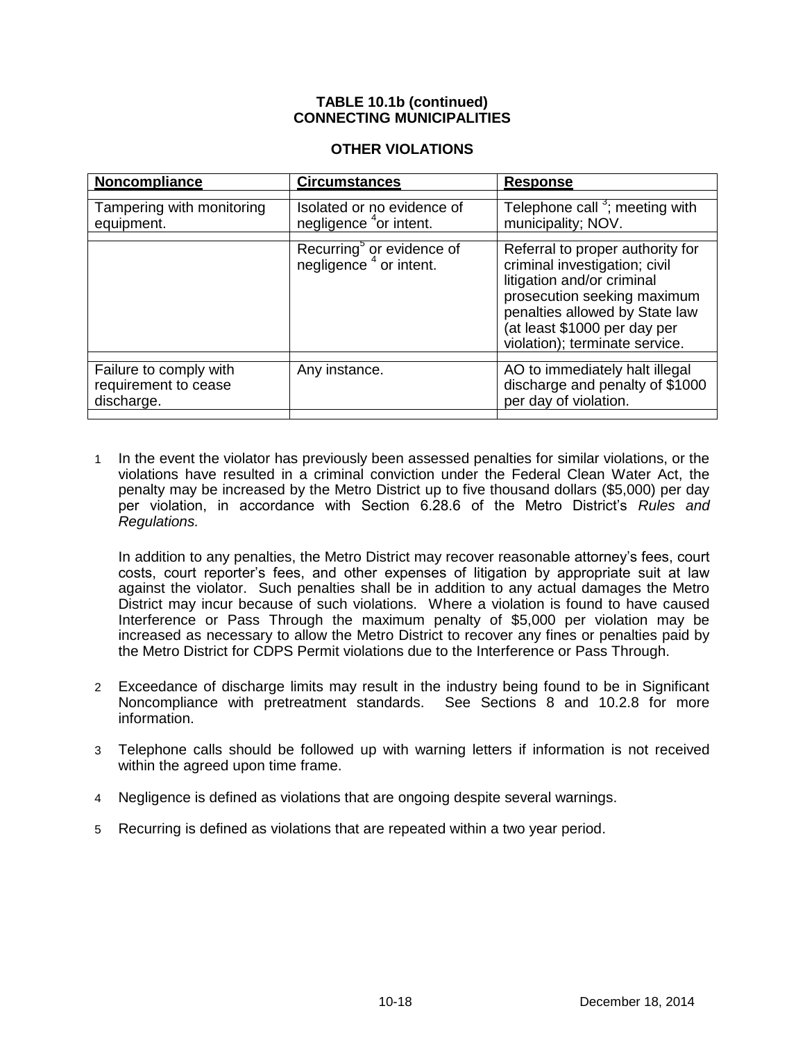#### **TABLE 10.1b (continued) CONNECTING MUNICIPALITIES**

#### **OTHER VIOLATIONS**

| Noncompliance                                                | <b>Circumstances</b>                                                        | <b>Response</b>                                                                                                                                                                                                                    |
|--------------------------------------------------------------|-----------------------------------------------------------------------------|------------------------------------------------------------------------------------------------------------------------------------------------------------------------------------------------------------------------------------|
| Tampering with monitoring<br>equipment.                      | Isolated or no evidence of<br>negligence <sup>4</sup> or intent.            | Telephone call <sup>3</sup> ; meeting with<br>municipality; NOV.                                                                                                                                                                   |
|                                                              | Recurring <sup>o</sup> or evidence of<br>negligence <sup>4</sup> or intent. | Referral to proper authority for<br>criminal investigation; civil<br>litigation and/or criminal<br>prosecution seeking maximum<br>penalties allowed by State law<br>(at least \$1000 per day per<br>violation); terminate service. |
| Failure to comply with<br>requirement to cease<br>discharge. | Any instance.                                                               | AO to immediately halt illegal<br>discharge and penalty of \$1000<br>per day of violation.                                                                                                                                         |

1 In the event the violator has previously been assessed penalties for similar violations, or the violations have resulted in a criminal conviction under the Federal Clean Water Act, the penalty may be increased by the Metro District up to five thousand dollars (\$5,000) per day per violation, in accordance with Section 6.28.6 of the Metro District's *Rules and Regulations.*

In addition to any penalties, the Metro District may recover reasonable attorney's fees, court costs, court reporter's fees, and other expenses of litigation by appropriate suit at law against the violator. Such penalties shall be in addition to any actual damages the Metro District may incur because of such violations. Where a violation is found to have caused Interference or Pass Through the maximum penalty of \$5,000 per violation may be increased as necessary to allow the Metro District to recover any fines or penalties paid by the Metro District for CDPS Permit violations due to the Interference or Pass Through.

- 2 Exceedance of discharge limits may result in the industry being found to be in Significant Noncompliance with pretreatment standards. See Sections 8 and 10.2.8 for more information.
- 3 Telephone calls should be followed up with warning letters if information is not received within the agreed upon time frame.
- 4 Negligence is defined as violations that are ongoing despite several warnings.
- 5 Recurring is defined as violations that are repeated within a two year period.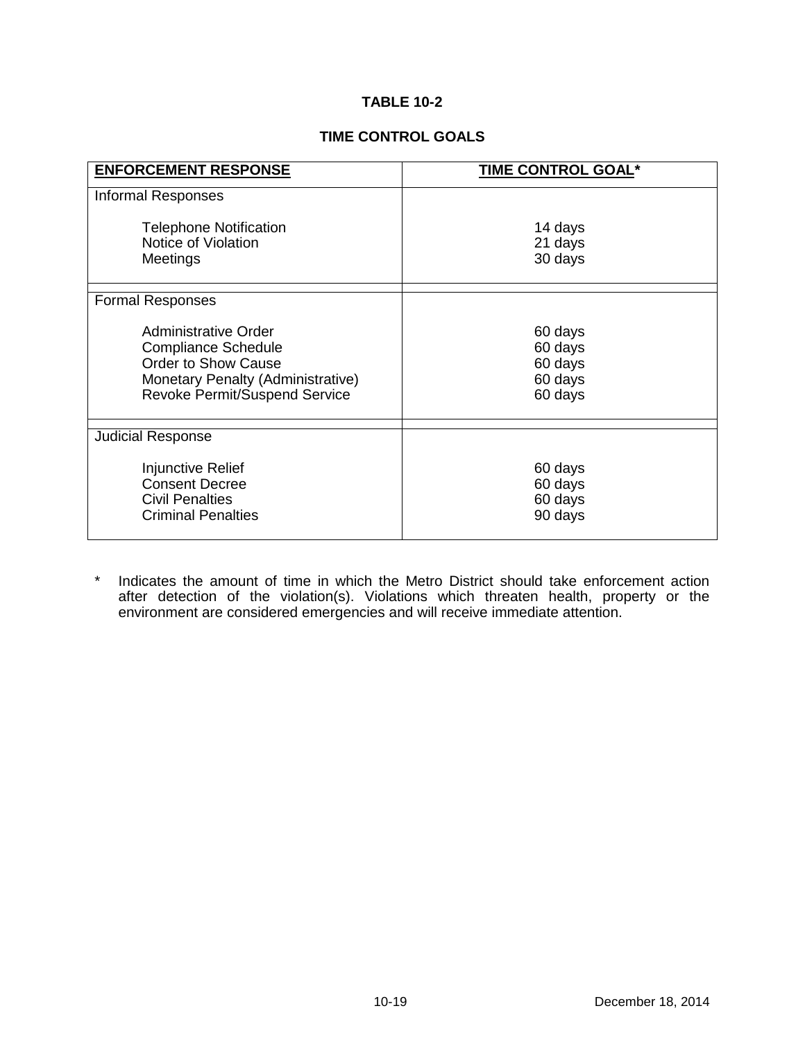# **TABLE 10-2**

#### **TIME CONTROL GOALS**

| <b>ENFORCEMENT RESPONSE</b>                                                                                                                                   | TIME CONTROL GOAL*                                  |
|---------------------------------------------------------------------------------------------------------------------------------------------------------------|-----------------------------------------------------|
| <b>Informal Responses</b>                                                                                                                                     |                                                     |
| <b>Telephone Notification</b><br>Notice of Violation<br>Meetings                                                                                              | 14 days<br>21 days<br>30 days                       |
| <b>Formal Responses</b>                                                                                                                                       |                                                     |
| Administrative Order<br><b>Compliance Schedule</b><br><b>Order to Show Cause</b><br>Monetary Penalty (Administrative)<br><b>Revoke Permit/Suspend Service</b> | 60 days<br>60 days<br>60 days<br>60 days<br>60 days |
| <b>Judicial Response</b>                                                                                                                                      |                                                     |
| Injunctive Relief<br><b>Consent Decree</b><br><b>Civil Penalties</b><br><b>Criminal Penalties</b>                                                             | 60 days<br>60 days<br>60 days<br>90 days            |

\* Indicates the amount of time in which the Metro District should take enforcement action after detection of the violation(s). Violations which threaten health, property or the environment are considered emergencies and will receive immediate attention.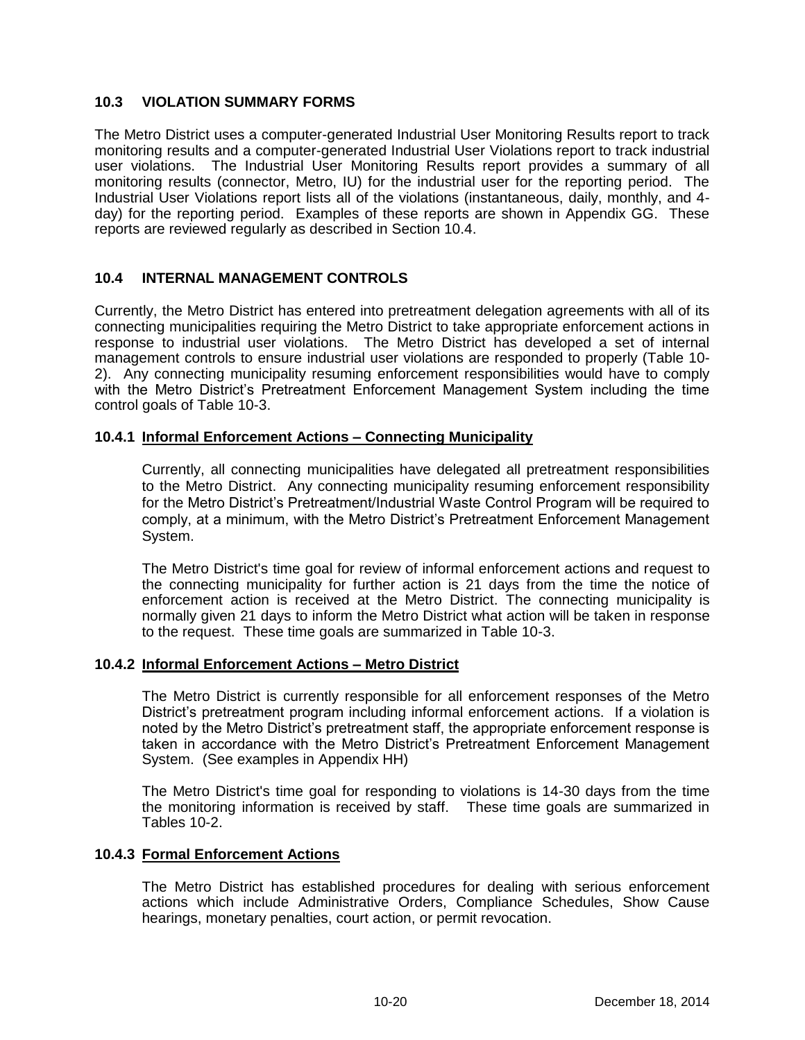# **10.3 VIOLATION SUMMARY FORMS**

The Metro District uses a computer-generated Industrial User Monitoring Results report to track monitoring results and a computer-generated Industrial User Violations report to track industrial user violations. The Industrial User Monitoring Results report provides a summary of all monitoring results (connector, Metro, IU) for the industrial user for the reporting period. The Industrial User Violations report lists all of the violations (instantaneous, daily, monthly, and 4 day) for the reporting period. Examples of these reports are shown in Appendix GG. These reports are reviewed regularly as described in Section 10.4.

# **10.4 INTERNAL MANAGEMENT CONTROLS**

Currently, the Metro District has entered into pretreatment delegation agreements with all of its connecting municipalities requiring the Metro District to take appropriate enforcement actions in response to industrial user violations. The Metro District has developed a set of internal management controls to ensure industrial user violations are responded to properly (Table 10- 2). Any connecting municipality resuming enforcement responsibilities would have to comply with the Metro District's Pretreatment Enforcement Management System including the time control goals of Table 10-3.

# **10.4.1 Informal Enforcement Actions – Connecting Municipality**

Currently, all connecting municipalities have delegated all pretreatment responsibilities to the Metro District. Any connecting municipality resuming enforcement responsibility for the Metro District's Pretreatment/Industrial Waste Control Program will be required to comply, at a minimum, with the Metro District's Pretreatment Enforcement Management System.

The Metro District's time goal for review of informal enforcement actions and request to the connecting municipality for further action is 21 days from the time the notice of enforcement action is received at the Metro District. The connecting municipality is normally given 21 days to inform the Metro District what action will be taken in response to the request. These time goals are summarized in Table 10-3.

#### **10.4.2 Informal Enforcement Actions – Metro District**

The Metro District is currently responsible for all enforcement responses of the Metro District's pretreatment program including informal enforcement actions. If a violation is noted by the Metro District's pretreatment staff, the appropriate enforcement response is taken in accordance with the Metro District's Pretreatment Enforcement Management System. (See examples in Appendix HH)

The Metro District's time goal for responding to violations is 14-30 days from the time the monitoring information is received by staff. These time goals are summarized in Tables 10-2.

#### **10.4.3 Formal Enforcement Actions**

The Metro District has established procedures for dealing with serious enforcement actions which include Administrative Orders, Compliance Schedules, Show Cause hearings, monetary penalties, court action, or permit revocation.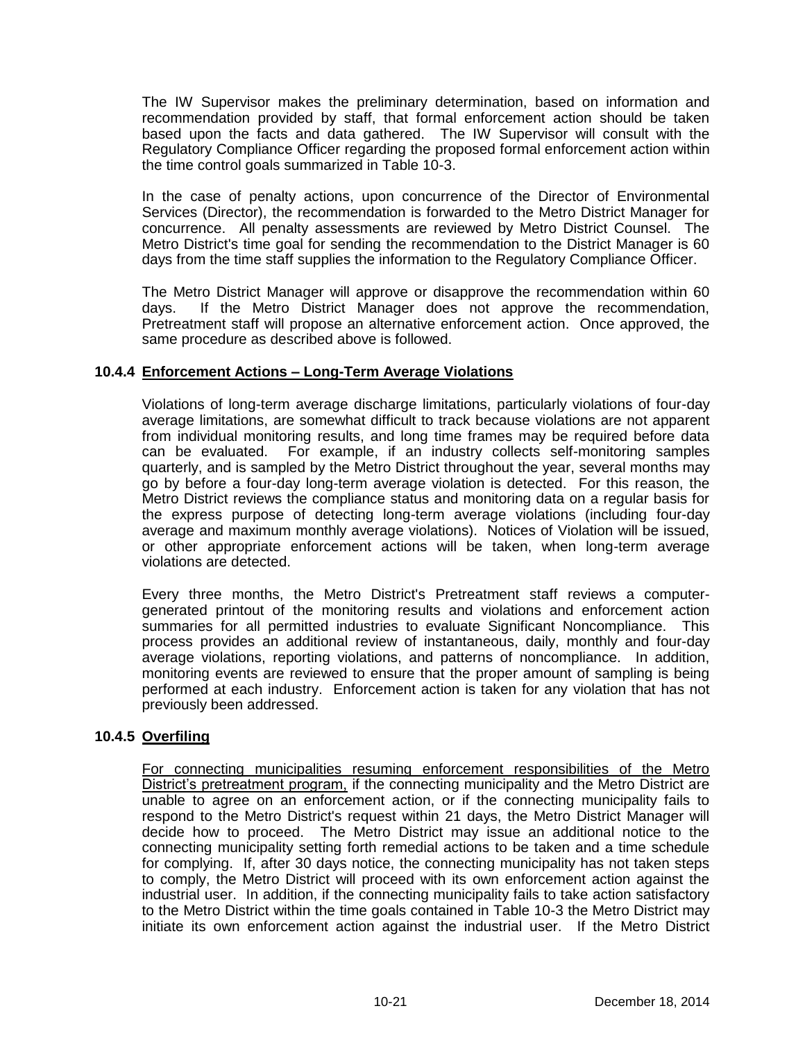The IW Supervisor makes the preliminary determination, based on information and recommendation provided by staff, that formal enforcement action should be taken based upon the facts and data gathered. The IW Supervisor will consult with the Regulatory Compliance Officer regarding the proposed formal enforcement action within the time control goals summarized in Table 10-3.

In the case of penalty actions, upon concurrence of the Director of Environmental Services (Director), the recommendation is forwarded to the Metro District Manager for concurrence. All penalty assessments are reviewed by Metro District Counsel. The Metro District's time goal for sending the recommendation to the District Manager is 60 days from the time staff supplies the information to the Regulatory Compliance Officer.

The Metro District Manager will approve or disapprove the recommendation within 60 days. If the Metro District Manager does not approve the recommendation, Pretreatment staff will propose an alternative enforcement action. Once approved, the same procedure as described above is followed.

# **10.4.4 Enforcement Actions – Long-Term Average Violations**

Violations of long-term average discharge limitations, particularly violations of four-day average limitations, are somewhat difficult to track because violations are not apparent from individual monitoring results, and long time frames may be required before data can be evaluated. For example, if an industry collects self-monitoring samples quarterly, and is sampled by the Metro District throughout the year, several months may go by before a four-day long-term average violation is detected. For this reason, the Metro District reviews the compliance status and monitoring data on a regular basis for the express purpose of detecting long-term average violations (including four-day average and maximum monthly average violations). Notices of Violation will be issued, or other appropriate enforcement actions will be taken, when long-term average violations are detected.

Every three months, the Metro District's Pretreatment staff reviews a computergenerated printout of the monitoring results and violations and enforcement action summaries for all permitted industries to evaluate Significant Noncompliance. This process provides an additional review of instantaneous, daily, monthly and four-day average violations, reporting violations, and patterns of noncompliance. In addition, monitoring events are reviewed to ensure that the proper amount of sampling is being performed at each industry. Enforcement action is taken for any violation that has not previously been addressed.

#### **10.4.5 Overfiling**

For connecting municipalities resuming enforcement responsibilities of the Metro District's pretreatment program, if the connecting municipality and the Metro District are unable to agree on an enforcement action, or if the connecting municipality fails to respond to the Metro District's request within 21 days, the Metro District Manager will decide how to proceed. The Metro District may issue an additional notice to the connecting municipality setting forth remedial actions to be taken and a time schedule for complying. If, after 30 days notice, the connecting municipality has not taken steps to comply, the Metro District will proceed with its own enforcement action against the industrial user. In addition, if the connecting municipality fails to take action satisfactory to the Metro District within the time goals contained in Table 10-3 the Metro District may initiate its own enforcement action against the industrial user. If the Metro District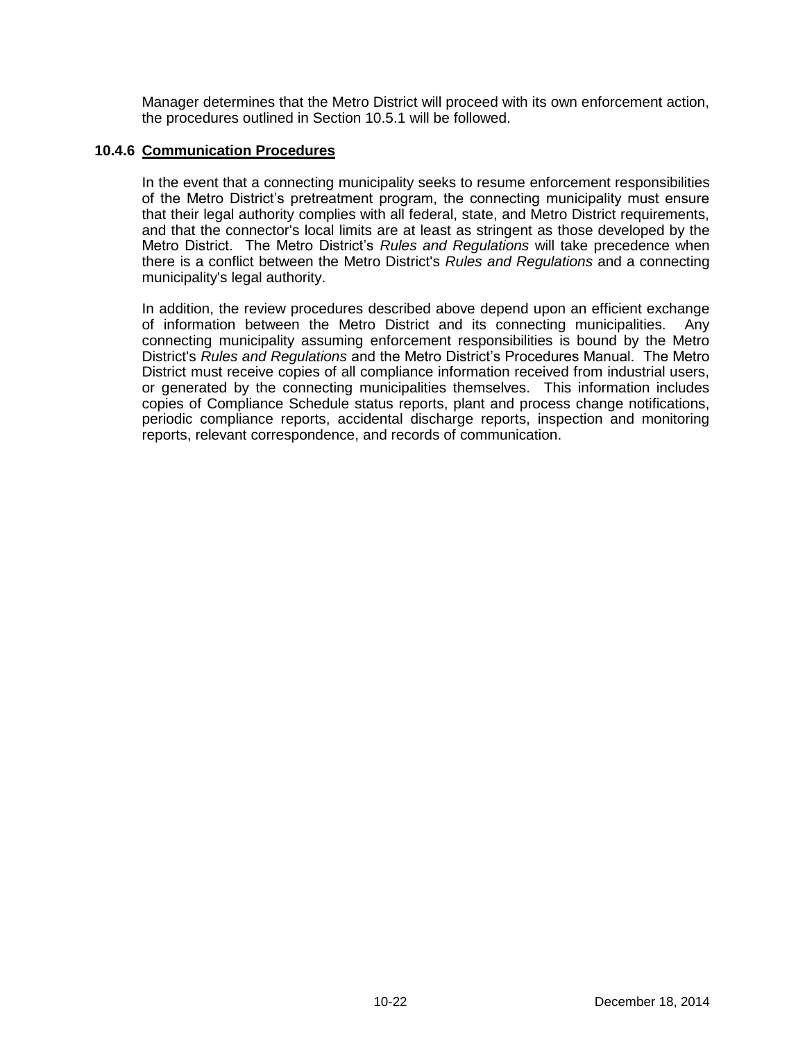Manager determines that the Metro District will proceed with its own enforcement action, the procedures outlined in Section 10.5.1 will be followed.

#### **10.4.6 Communication Procedures**

In the event that a connecting municipality seeks to resume enforcement responsibilities of the Metro District's pretreatment program, the connecting municipality must ensure that their legal authority complies with all federal, state, and Metro District requirements, and that the connector's local limits are at least as stringent as those developed by the Metro District. The Metro District's *Rules and Regulations* will take precedence when there is a conflict between the Metro District's *Rules and Regulations* and a connecting municipality's legal authority.

In addition, the review procedures described above depend upon an efficient exchange of information between the Metro District and its connecting municipalities. Any connecting municipality assuming enforcement responsibilities is bound by the Metro District's *Rules and Regulations* and the Metro District's Procedures Manual. The Metro District must receive copies of all compliance information received from industrial users, or generated by the connecting municipalities themselves. This information includes copies of Compliance Schedule status reports, plant and process change notifications, periodic compliance reports, accidental discharge reports, inspection and monitoring reports, relevant correspondence, and records of communication.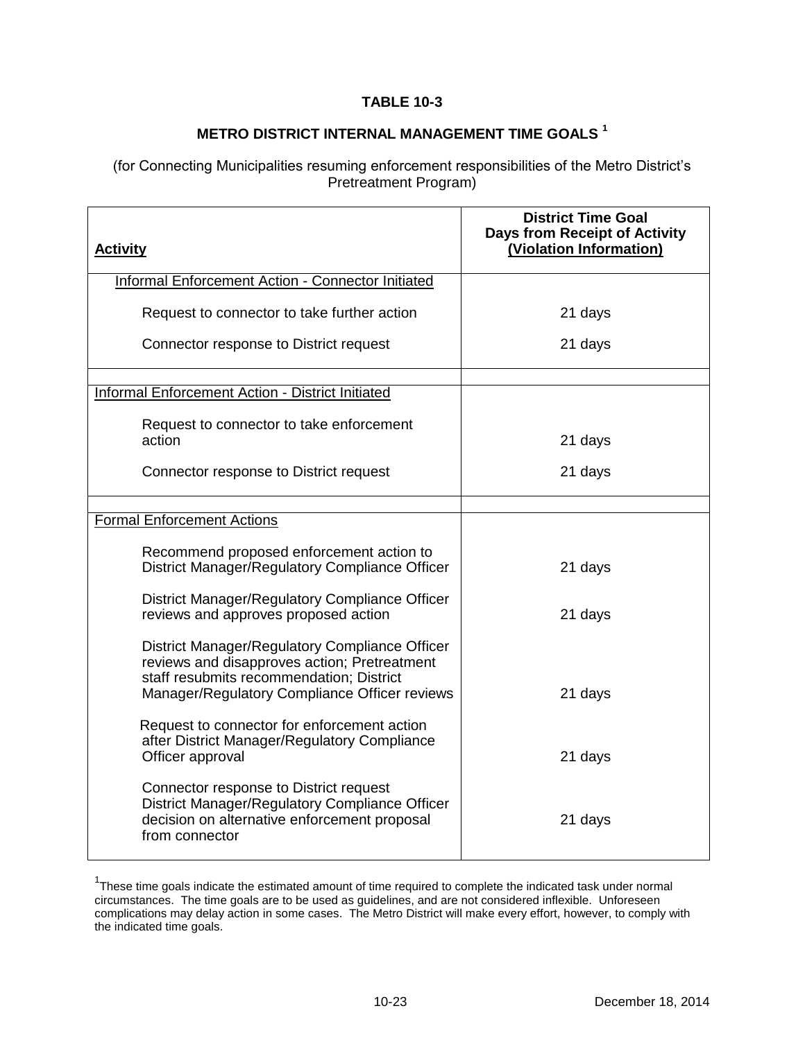# **TABLE 10-3**

# **METRO DISTRICT INTERNAL MANAGEMENT TIME GOALS <sup>1</sup>**

(for Connecting Municipalities resuming enforcement responsibilities of the Metro District's Pretreatment Program)

| <b>Activity</b>                                                                                                                                            | <b>District Time Goal</b><br><b>Days from Receipt of Activity</b><br>(Violation Information) |
|------------------------------------------------------------------------------------------------------------------------------------------------------------|----------------------------------------------------------------------------------------------|
| Informal Enforcement Action - Connector Initiated                                                                                                          |                                                                                              |
| Request to connector to take further action                                                                                                                | 21 days                                                                                      |
| Connector response to District request                                                                                                                     | 21 days                                                                                      |
| Informal Enforcement Action - District Initiated                                                                                                           |                                                                                              |
| Request to connector to take enforcement<br>action                                                                                                         | 21 days                                                                                      |
| Connector response to District request                                                                                                                     | 21 days                                                                                      |
|                                                                                                                                                            |                                                                                              |
| <b>Formal Enforcement Actions</b>                                                                                                                          |                                                                                              |
| Recommend proposed enforcement action to<br>District Manager/Regulatory Compliance Officer                                                                 | 21 days                                                                                      |
| District Manager/Regulatory Compliance Officer<br>reviews and approves proposed action                                                                     | 21 days                                                                                      |
| District Manager/Regulatory Compliance Officer<br>reviews and disapproves action; Pretreatment<br>staff resubmits recommendation; District                 |                                                                                              |
| Manager/Regulatory Compliance Officer reviews                                                                                                              | 21 days                                                                                      |
| Request to connector for enforcement action<br>after District Manager/Regulatory Compliance<br>Officer approval                                            | 21 days                                                                                      |
| Connector response to District request<br>District Manager/Regulatory Compliance Officer<br>decision on alternative enforcement proposal<br>from connector | 21 days                                                                                      |

<sup>&</sup>lt;sup>1</sup>These time goals indicate the estimated amount of time required to complete the indicated task under normal circumstances. The time goals are to be used as guidelines, and are not considered inflexible. Unforeseen complications may delay action in some cases. The Metro District will make every effort, however, to comply with the indicated time goals.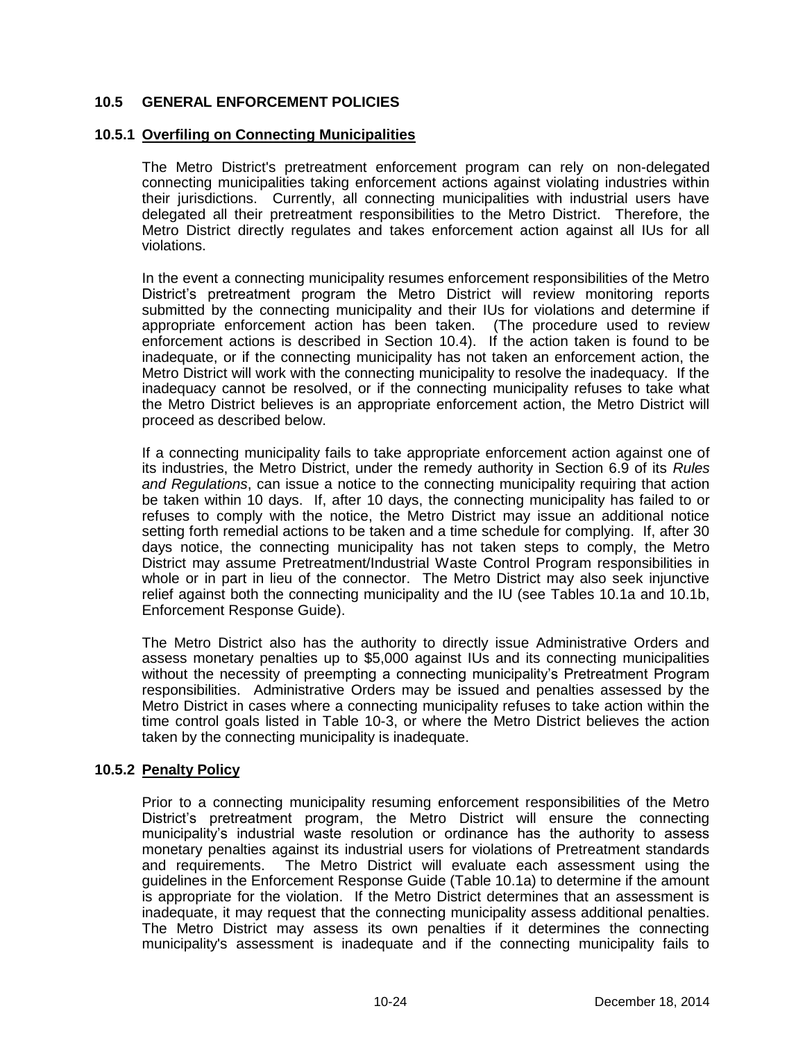# **10.5 GENERAL ENFORCEMENT POLICIES**

## **10.5.1 Overfiling on Connecting Municipalities**

The Metro District's pretreatment enforcement program can rely on non-delegated connecting municipalities taking enforcement actions against violating industries within their jurisdictions. Currently, all connecting municipalities with industrial users have delegated all their pretreatment responsibilities to the Metro District. Therefore, the Metro District directly regulates and takes enforcement action against all IUs for all violations.

In the event a connecting municipality resumes enforcement responsibilities of the Metro District's pretreatment program the Metro District will review monitoring reports submitted by the connecting municipality and their IUs for violations and determine if appropriate enforcement action has been taken. (The procedure used to review enforcement actions is described in Section 10.4). If the action taken is found to be inadequate, or if the connecting municipality has not taken an enforcement action, the Metro District will work with the connecting municipality to resolve the inadequacy. If the inadequacy cannot be resolved, or if the connecting municipality refuses to take what the Metro District believes is an appropriate enforcement action, the Metro District will proceed as described below.

If a connecting municipality fails to take appropriate enforcement action against one of its industries, the Metro District, under the remedy authority in Section 6.9 of its *Rules and Regulations*, can issue a notice to the connecting municipality requiring that action be taken within 10 days. If, after 10 days, the connecting municipality has failed to or refuses to comply with the notice, the Metro District may issue an additional notice setting forth remedial actions to be taken and a time schedule for complying. If, after 30 days notice, the connecting municipality has not taken steps to comply, the Metro District may assume Pretreatment/Industrial Waste Control Program responsibilities in whole or in part in lieu of the connector. The Metro District may also seek injunctive relief against both the connecting municipality and the IU (see Tables 10.1a and 10.1b, Enforcement Response Guide).

The Metro District also has the authority to directly issue Administrative Orders and assess monetary penalties up to \$5,000 against IUs and its connecting municipalities without the necessity of preempting a connecting municipality's Pretreatment Program responsibilities. Administrative Orders may be issued and penalties assessed by the Metro District in cases where a connecting municipality refuses to take action within the time control goals listed in Table 10-3, or where the Metro District believes the action taken by the connecting municipality is inadequate.

# **10.5.2 Penalty Policy**

Prior to a connecting municipality resuming enforcement responsibilities of the Metro District's pretreatment program, the Metro District will ensure the connecting municipality's industrial waste resolution or ordinance has the authority to assess monetary penalties against its industrial users for violations of Pretreatment standards and requirements. The Metro District will evaluate each assessment using the guidelines in the Enforcement Response Guide (Table 10.1a) to determine if the amount is appropriate for the violation. If the Metro District determines that an assessment is inadequate, it may request that the connecting municipality assess additional penalties. The Metro District may assess its own penalties if it determines the connecting municipality's assessment is inadequate and if the connecting municipality fails to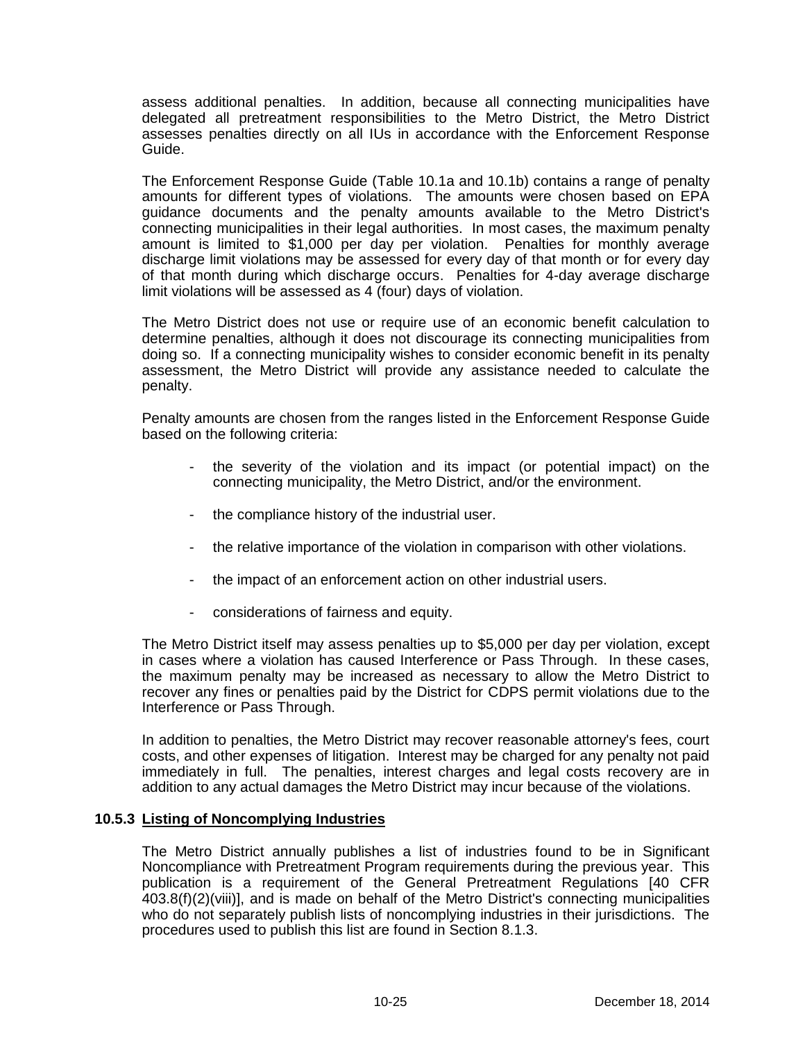assess additional penalties. In addition, because all connecting municipalities have delegated all pretreatment responsibilities to the Metro District, the Metro District assesses penalties directly on all IUs in accordance with the Enforcement Response Guide.

The Enforcement Response Guide (Table 10.1a and 10.1b) contains a range of penalty amounts for different types of violations. The amounts were chosen based on EPA guidance documents and the penalty amounts available to the Metro District's connecting municipalities in their legal authorities. In most cases, the maximum penalty amount is limited to \$1,000 per day per violation. Penalties for monthly average discharge limit violations may be assessed for every day of that month or for every day of that month during which discharge occurs. Penalties for 4-day average discharge limit violations will be assessed as 4 (four) days of violation.

The Metro District does not use or require use of an economic benefit calculation to determine penalties, although it does not discourage its connecting municipalities from doing so. If a connecting municipality wishes to consider economic benefit in its penalty assessment, the Metro District will provide any assistance needed to calculate the penalty.

Penalty amounts are chosen from the ranges listed in the Enforcement Response Guide based on the following criteria:

- the severity of the violation and its impact (or potential impact) on the connecting municipality, the Metro District, and/or the environment.
- the compliance history of the industrial user.
- the relative importance of the violation in comparison with other violations.
- the impact of an enforcement action on other industrial users.
- considerations of fairness and equity.

The Metro District itself may assess penalties up to \$5,000 per day per violation, except in cases where a violation has caused Interference or Pass Through. In these cases, the maximum penalty may be increased as necessary to allow the Metro District to recover any fines or penalties paid by the District for CDPS permit violations due to the Interference or Pass Through.

In addition to penalties, the Metro District may recover reasonable attorney's fees, court costs, and other expenses of litigation. Interest may be charged for any penalty not paid immediately in full. The penalties, interest charges and legal costs recovery are in addition to any actual damages the Metro District may incur because of the violations.

#### **10.5.3 Listing of Noncomplying Industries**

The Metro District annually publishes a list of industries found to be in Significant Noncompliance with Pretreatment Program requirements during the previous year. This publication is a requirement of the General Pretreatment Regulations [40 CFR 403.8(f)(2)(viii)], and is made on behalf of the Metro District's connecting municipalities who do not separately publish lists of noncomplying industries in their jurisdictions. The procedures used to publish this list are found in Section 8.1.3.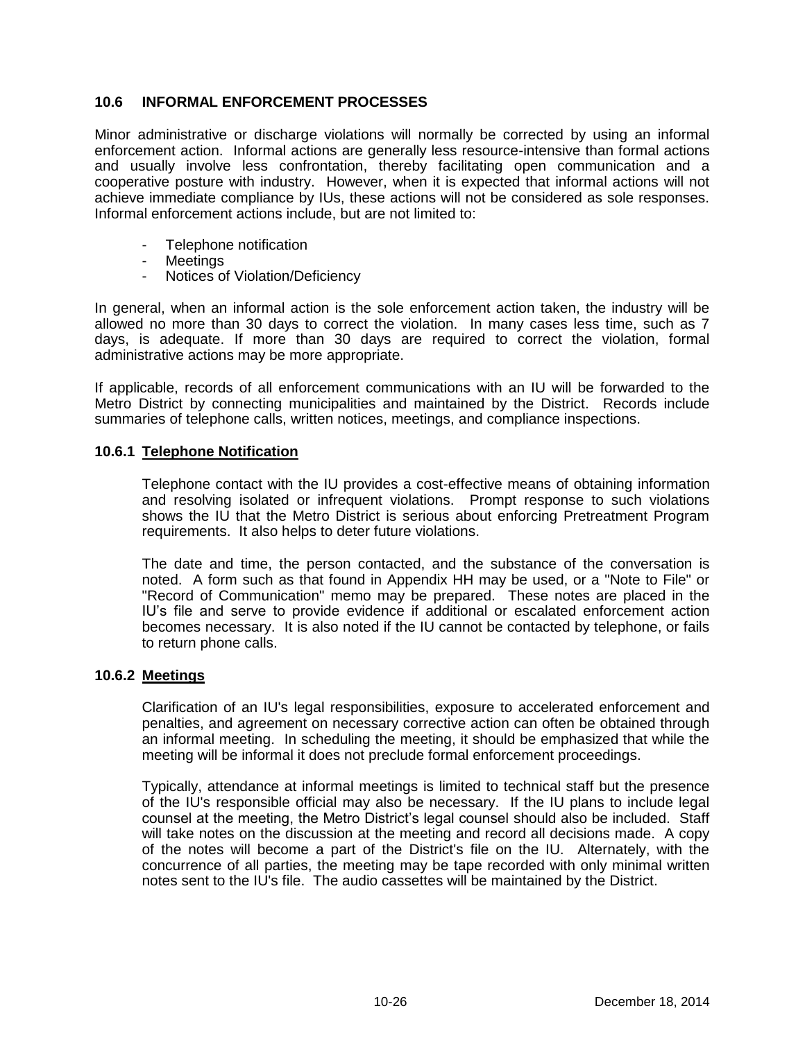# **10.6 INFORMAL ENFORCEMENT PROCESSES**

Minor administrative or discharge violations will normally be corrected by using an informal enforcement action. Informal actions are generally less resource-intensive than formal actions and usually involve less confrontation, thereby facilitating open communication and a cooperative posture with industry. However, when it is expected that informal actions will not achieve immediate compliance by IUs, these actions will not be considered as sole responses. Informal enforcement actions include, but are not limited to:

- Telephone notification
- Meetings
- Notices of Violation/Deficiency

In general, when an informal action is the sole enforcement action taken, the industry will be allowed no more than 30 days to correct the violation. In many cases less time, such as 7 days, is adequate. If more than 30 days are required to correct the violation, formal administrative actions may be more appropriate.

If applicable, records of all enforcement communications with an IU will be forwarded to the Metro District by connecting municipalities and maintained by the District. Records include summaries of telephone calls, written notices, meetings, and compliance inspections.

#### **10.6.1 Telephone Notification**

Telephone contact with the IU provides a cost-effective means of obtaining information and resolving isolated or infrequent violations. Prompt response to such violations shows the IU that the Metro District is serious about enforcing Pretreatment Program requirements. It also helps to deter future violations.

The date and time, the person contacted, and the substance of the conversation is noted. A form such as that found in Appendix HH may be used, or a "Note to File" or "Record of Communication" memo may be prepared. These notes are placed in the IU's file and serve to provide evidence if additional or escalated enforcement action becomes necessary. It is also noted if the IU cannot be contacted by telephone, or fails to return phone calls.

#### **10.6.2 Meetings**

Clarification of an IU's legal responsibilities, exposure to accelerated enforcement and penalties, and agreement on necessary corrective action can often be obtained through an informal meeting. In scheduling the meeting, it should be emphasized that while the meeting will be informal it does not preclude formal enforcement proceedings.

Typically, attendance at informal meetings is limited to technical staff but the presence of the IU's responsible official may also be necessary. If the IU plans to include legal counsel at the meeting, the Metro District's legal counsel should also be included. Staff will take notes on the discussion at the meeting and record all decisions made. A copy of the notes will become a part of the District's file on the IU. Alternately, with the concurrence of all parties, the meeting may be tape recorded with only minimal written notes sent to the IU's file. The audio cassettes will be maintained by the District.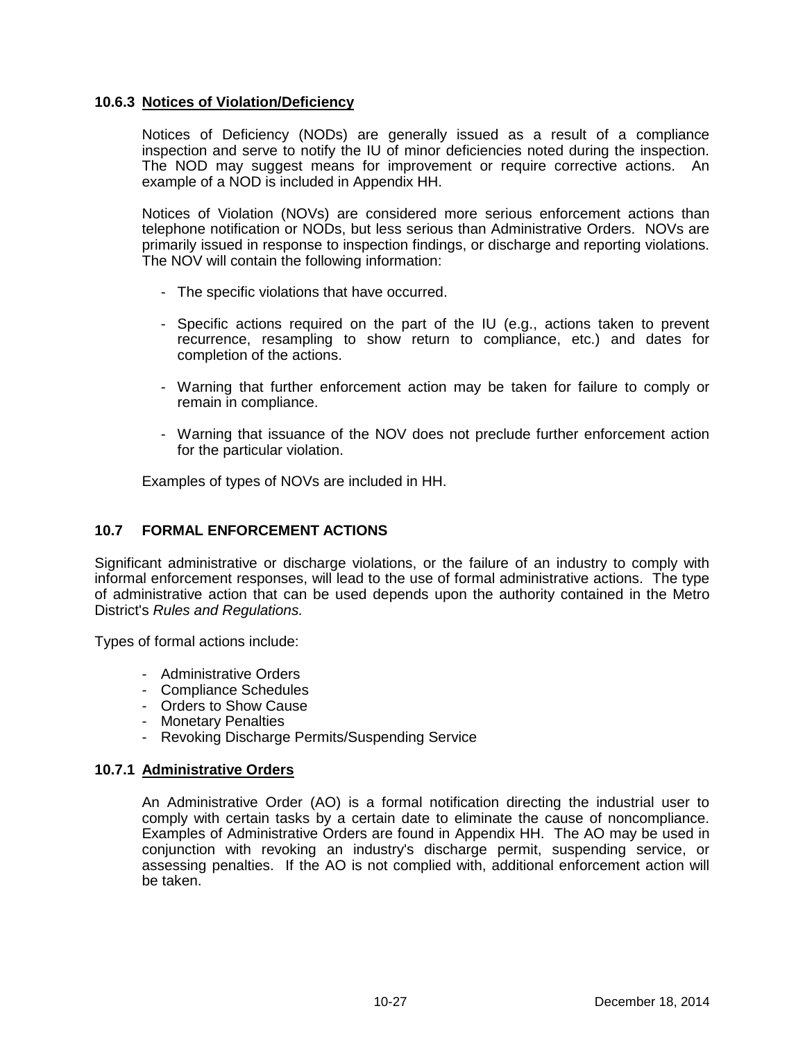## **10.6.3 Notices of Violation/Deficiency**

Notices of Deficiency (NODs) are generally issued as a result of a compliance inspection and serve to notify the IU of minor deficiencies noted during the inspection. The NOD may suggest means for improvement or require corrective actions. An example of a NOD is included in Appendix HH.

Notices of Violation (NOVs) are considered more serious enforcement actions than telephone notification or NODs, but less serious than Administrative Orders. NOVs are primarily issued in response to inspection findings, or discharge and reporting violations. The NOV will contain the following information:

- The specific violations that have occurred.
- Specific actions required on the part of the IU (e.g., actions taken to prevent recurrence, resampling to show return to compliance, etc.) and dates for completion of the actions.
- Warning that further enforcement action may be taken for failure to comply or remain in compliance.
- Warning that issuance of the NOV does not preclude further enforcement action for the particular violation.

Examples of types of NOVs are included in HH.

# **10.7 FORMAL ENFORCEMENT ACTIONS**

Significant administrative or discharge violations, or the failure of an industry to comply with informal enforcement responses, will lead to the use of formal administrative actions. The type of administrative action that can be used depends upon the authority contained in the Metro District's *Rules and Regulations.*

Types of formal actions include:

- Administrative Orders
- Compliance Schedules
- Orders to Show Cause
- Monetary Penalties
- Revoking Discharge Permits/Suspending Service

#### **10.7.1 Administrative Orders**

An Administrative Order (AO) is a formal notification directing the industrial user to comply with certain tasks by a certain date to eliminate the cause of noncompliance. Examples of Administrative Orders are found in Appendix HH. The AO may be used in conjunction with revoking an industry's discharge permit, suspending service, or assessing penalties. If the AO is not complied with, additional enforcement action will be taken.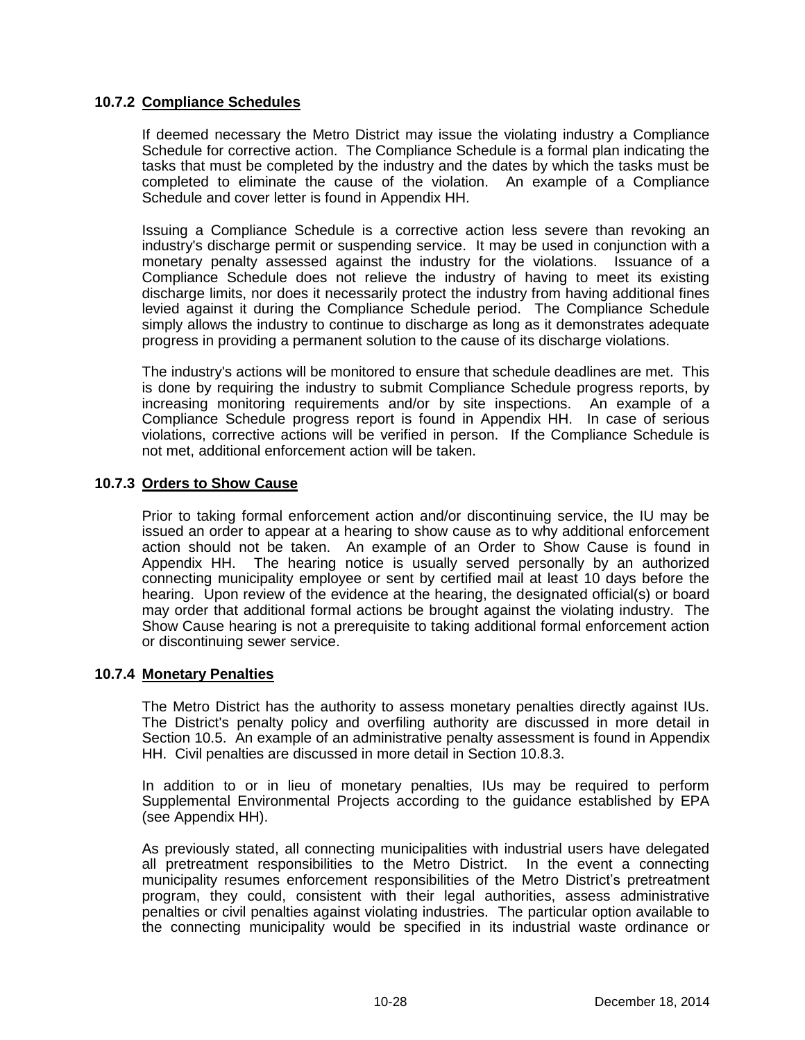## **10.7.2 Compliance Schedules**

If deemed necessary the Metro District may issue the violating industry a Compliance Schedule for corrective action. The Compliance Schedule is a formal plan indicating the tasks that must be completed by the industry and the dates by which the tasks must be completed to eliminate the cause of the violation. An example of a Compliance Schedule and cover letter is found in Appendix HH.

Issuing a Compliance Schedule is a corrective action less severe than revoking an industry's discharge permit or suspending service. It may be used in conjunction with a monetary penalty assessed against the industry for the violations. Issuance of a Compliance Schedule does not relieve the industry of having to meet its existing discharge limits, nor does it necessarily protect the industry from having additional fines levied against it during the Compliance Schedule period. The Compliance Schedule simply allows the industry to continue to discharge as long as it demonstrates adequate progress in providing a permanent solution to the cause of its discharge violations.

The industry's actions will be monitored to ensure that schedule deadlines are met. This is done by requiring the industry to submit Compliance Schedule progress reports, by increasing monitoring requirements and/or by site inspections. An example of a Compliance Schedule progress report is found in Appendix HH. In case of serious violations, corrective actions will be verified in person. If the Compliance Schedule is not met, additional enforcement action will be taken.

# **10.7.3 Orders to Show Cause**

Prior to taking formal enforcement action and/or discontinuing service, the IU may be issued an order to appear at a hearing to show cause as to why additional enforcement action should not be taken. An example of an Order to Show Cause is found in Appendix HH. The hearing notice is usually served personally by an authorized connecting municipality employee or sent by certified mail at least 10 days before the hearing. Upon review of the evidence at the hearing, the designated official(s) or board may order that additional formal actions be brought against the violating industry. The Show Cause hearing is not a prerequisite to taking additional formal enforcement action or discontinuing sewer service.

#### **10.7.4 Monetary Penalties**

The Metro District has the authority to assess monetary penalties directly against IUs. The District's penalty policy and overfiling authority are discussed in more detail in Section 10.5. An example of an administrative penalty assessment is found in Appendix HH. Civil penalties are discussed in more detail in Section 10.8.3.

In addition to or in lieu of monetary penalties, IUs may be required to perform Supplemental Environmental Projects according to the guidance established by EPA (see Appendix HH).

As previously stated, all connecting municipalities with industrial users have delegated all pretreatment responsibilities to the Metro District. In the event a connecting municipality resumes enforcement responsibilities of the Metro District's pretreatment program, they could, consistent with their legal authorities, assess administrative penalties or civil penalties against violating industries. The particular option available to the connecting municipality would be specified in its industrial waste ordinance or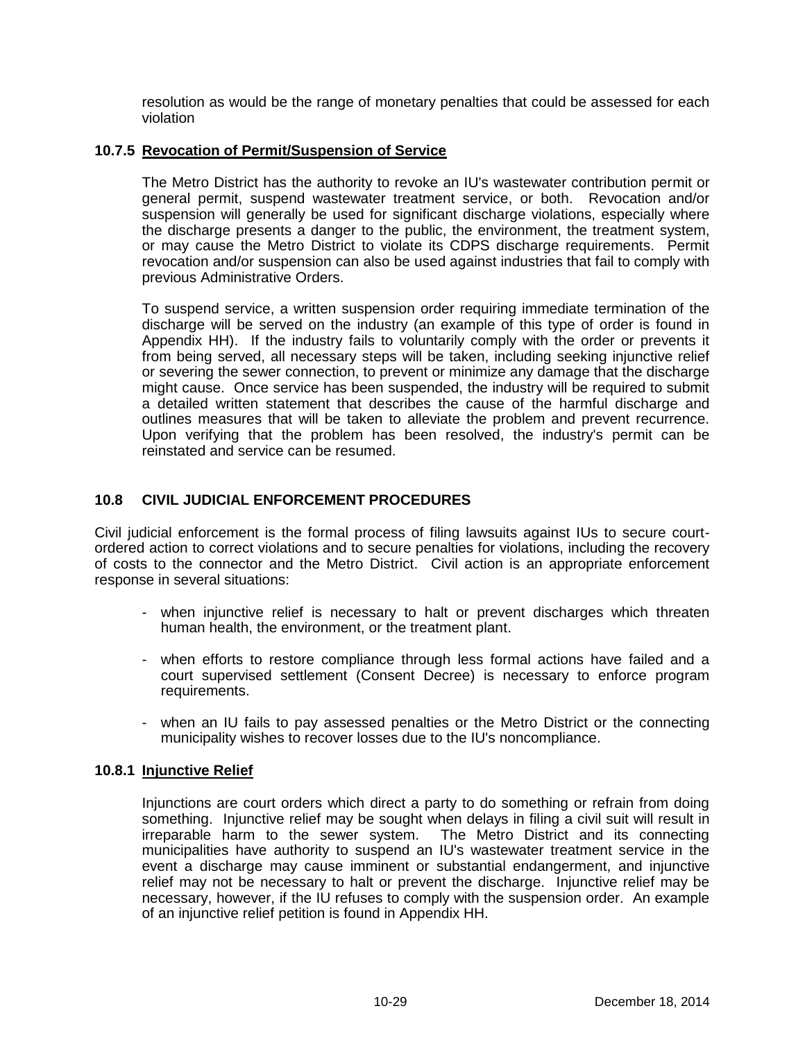resolution as would be the range of monetary penalties that could be assessed for each violation

## **10.7.5 Revocation of Permit/Suspension of Service**

The Metro District has the authority to revoke an IU's wastewater contribution permit or general permit, suspend wastewater treatment service, or both. Revocation and/or suspension will generally be used for significant discharge violations, especially where the discharge presents a danger to the public, the environment, the treatment system, or may cause the Metro District to violate its CDPS discharge requirements. Permit revocation and/or suspension can also be used against industries that fail to comply with previous Administrative Orders.

To suspend service, a written suspension order requiring immediate termination of the discharge will be served on the industry (an example of this type of order is found in Appendix HH). If the industry fails to voluntarily comply with the order or prevents it from being served, all necessary steps will be taken, including seeking injunctive relief or severing the sewer connection, to prevent or minimize any damage that the discharge might cause. Once service has been suspended, the industry will be required to submit a detailed written statement that describes the cause of the harmful discharge and outlines measures that will be taken to alleviate the problem and prevent recurrence. Upon verifying that the problem has been resolved, the industry's permit can be reinstated and service can be resumed.

# **10.8 CIVIL JUDICIAL ENFORCEMENT PROCEDURES**

Civil judicial enforcement is the formal process of filing lawsuits against IUs to secure courtordered action to correct violations and to secure penalties for violations, including the recovery of costs to the connector and the Metro District. Civil action is an appropriate enforcement response in several situations:

- when injunctive relief is necessary to halt or prevent discharges which threaten human health, the environment, or the treatment plant.
- when efforts to restore compliance through less formal actions have failed and a court supervised settlement (Consent Decree) is necessary to enforce program requirements.
- when an IU fails to pay assessed penalties or the Metro District or the connecting municipality wishes to recover losses due to the IU's noncompliance.

#### **10.8.1 Injunctive Relief**

Injunctions are court orders which direct a party to do something or refrain from doing something. Injunctive relief may be sought when delays in filing a civil suit will result in irreparable harm to the sewer system. The Metro District and its connecting municipalities have authority to suspend an IU's wastewater treatment service in the event a discharge may cause imminent or substantial endangerment, and injunctive relief may not be necessary to halt or prevent the discharge. Injunctive relief may be necessary, however, if the IU refuses to comply with the suspension order. An example of an injunctive relief petition is found in Appendix HH.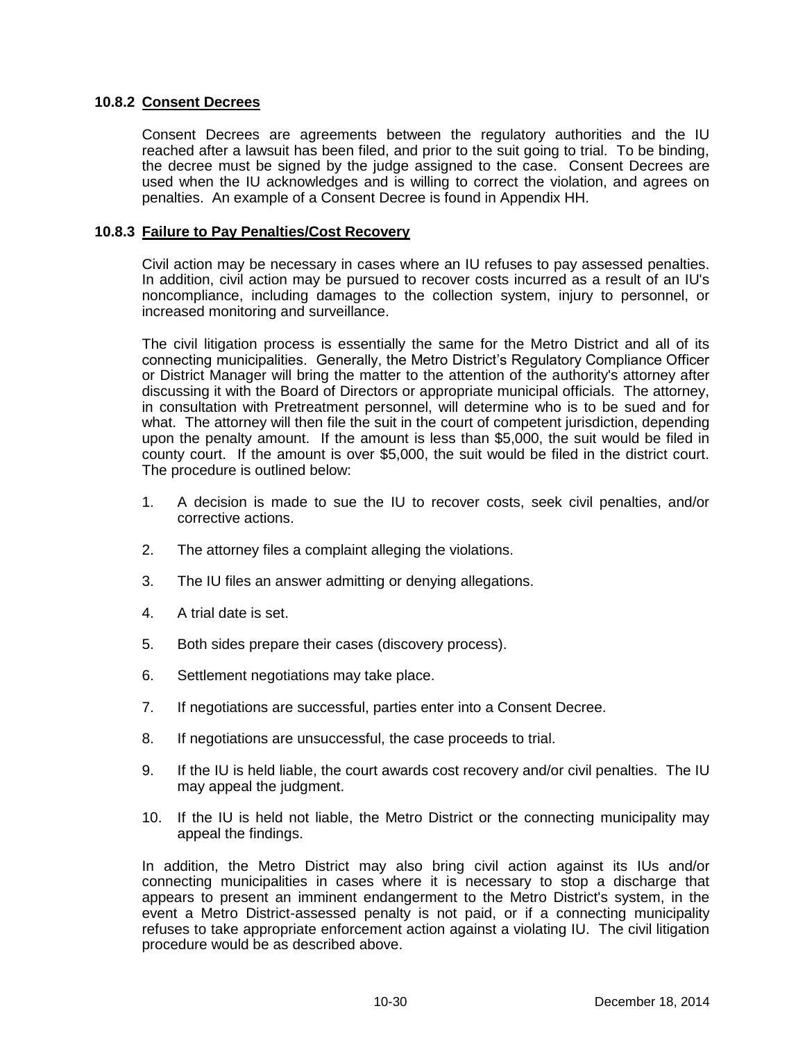## **10.8.2 Consent Decrees**

Consent Decrees are agreements between the regulatory authorities and the IU reached after a lawsuit has been filed, and prior to the suit going to trial. To be binding, the decree must be signed by the judge assigned to the case. Consent Decrees are used when the IU acknowledges and is willing to correct the violation, and agrees on penalties. An example of a Consent Decree is found in Appendix HH.

#### **10.8.3 Failure to Pay Penalties/Cost Recovery**

Civil action may be necessary in cases where an IU refuses to pay assessed penalties. In addition, civil action may be pursued to recover costs incurred as a result of an IU's noncompliance, including damages to the collection system, injury to personnel, or increased monitoring and surveillance.

The civil litigation process is essentially the same for the Metro District and all of its connecting municipalities. Generally, the Metro District's Regulatory Compliance Officer or District Manager will bring the matter to the attention of the authority's attorney after discussing it with the Board of Directors or appropriate municipal officials. The attorney, in consultation with Pretreatment personnel, will determine who is to be sued and for what. The attorney will then file the suit in the court of competent jurisdiction, depending upon the penalty amount. If the amount is less than \$5,000, the suit would be filed in county court. If the amount is over \$5,000, the suit would be filed in the district court. The procedure is outlined below:

- 1. A decision is made to sue the IU to recover costs, seek civil penalties, and/or corrective actions.
- 2. The attorney files a complaint alleging the violations.
- 3. The IU files an answer admitting or denying allegations.
- 4. A trial date is set.
- 5. Both sides prepare their cases (discovery process).
- 6. Settlement negotiations may take place.
- 7. If negotiations are successful, parties enter into a Consent Decree.
- 8. If negotiations are unsuccessful, the case proceeds to trial.
- 9. If the IU is held liable, the court awards cost recovery and/or civil penalties. The IU may appeal the judgment.
- 10. If the IU is held not liable, the Metro District or the connecting municipality may appeal the findings.

In addition, the Metro District may also bring civil action against its IUs and/or connecting municipalities in cases where it is necessary to stop a discharge that appears to present an imminent endangerment to the Metro District's system, in the event a Metro District-assessed penalty is not paid, or if a connecting municipality refuses to take appropriate enforcement action against a violating IU. The civil litigation procedure would be as described above.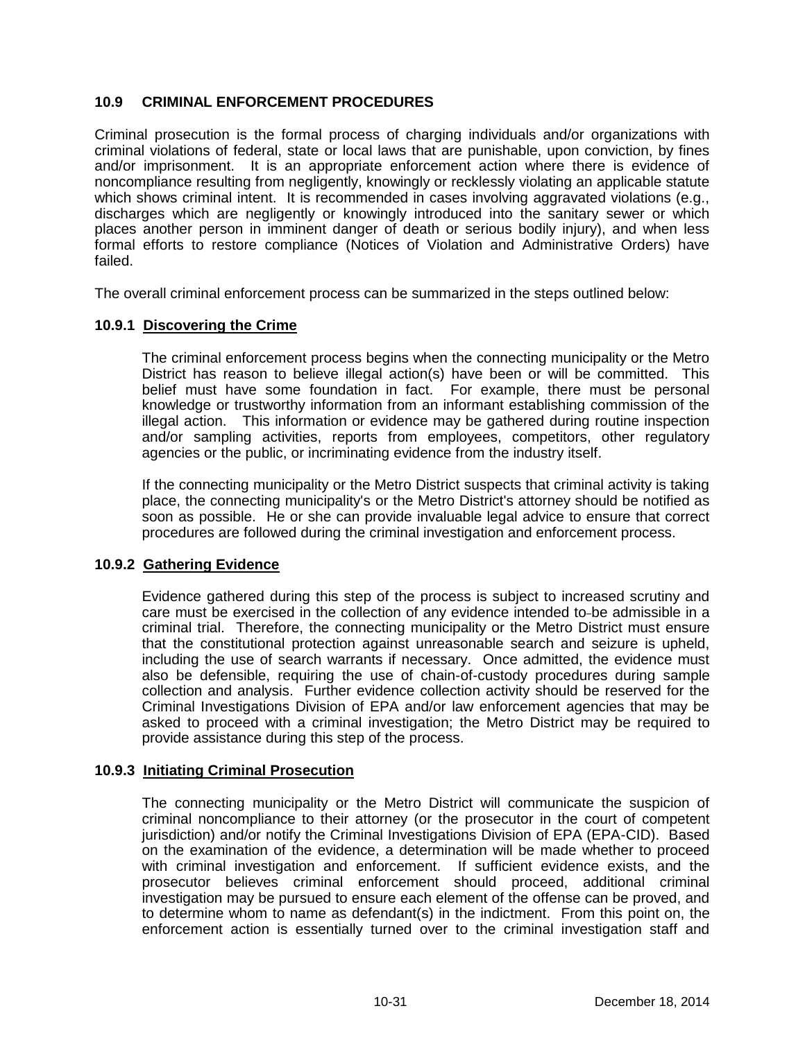# **10.9 CRIMINAL ENFORCEMENT PROCEDURES**

Criminal prosecution is the formal process of charging individuals and/or organizations with criminal violations of federal, state or local laws that are punishable, upon conviction, by fines and/or imprisonment. It is an appropriate enforcement action where there is evidence of noncompliance resulting from negligently, knowingly or recklessly violating an applicable statute which shows criminal intent. It is recommended in cases involving aggravated violations (e.g., discharges which are negligently or knowingly introduced into the sanitary sewer or which places another person in imminent danger of death or serious bodily injury), and when less formal efforts to restore compliance (Notices of Violation and Administrative Orders) have failed.

The overall criminal enforcement process can be summarized in the steps outlined below:

## **10.9.1 Discovering the Crime**

The criminal enforcement process begins when the connecting municipality or the Metro District has reason to believe illegal action(s) have been or will be committed. This belief must have some foundation in fact. For example, there must be personal knowledge or trustworthy information from an informant establishing commission of the illegal action. This information or evidence may be gathered during routine inspection and/or sampling activities, reports from employees, competitors, other regulatory agencies or the public, or incriminating evidence from the industry itself.

If the connecting municipality or the Metro District suspects that criminal activity is taking place, the connecting municipality's or the Metro District's attorney should be notified as soon as possible. He or she can provide invaluable legal advice to ensure that correct procedures are followed during the criminal investigation and enforcement process.

#### **10.9.2 Gathering Evidence**

Evidence gathered during this step of the process is subject to increased scrutiny and care must be exercised in the collection of any evidence intended to be admissible in a criminal trial. Therefore, the connecting municipality or the Metro District must ensure that the constitutional protection against unreasonable search and seizure is upheld, including the use of search warrants if necessary. Once admitted, the evidence must also be defensible, requiring the use of chain-of-custody procedures during sample collection and analysis. Further evidence collection activity should be reserved for the Criminal Investigations Division of EPA and/or law enforcement agencies that may be asked to proceed with a criminal investigation; the Metro District may be required to provide assistance during this step of the process.

#### **10.9.3 Initiating Criminal Prosecution**

The connecting municipality or the Metro District will communicate the suspicion of criminal noncompliance to their attorney (or the prosecutor in the court of competent jurisdiction) and/or notify the Criminal Investigations Division of EPA (EPA-CID). Based on the examination of the evidence, a determination will be made whether to proceed with criminal investigation and enforcement. If sufficient evidence exists, and the prosecutor believes criminal enforcement should proceed, additional criminal investigation may be pursued to ensure each element of the offense can be proved, and to determine whom to name as defendant(s) in the indictment. From this point on, the enforcement action is essentially turned over to the criminal investigation staff and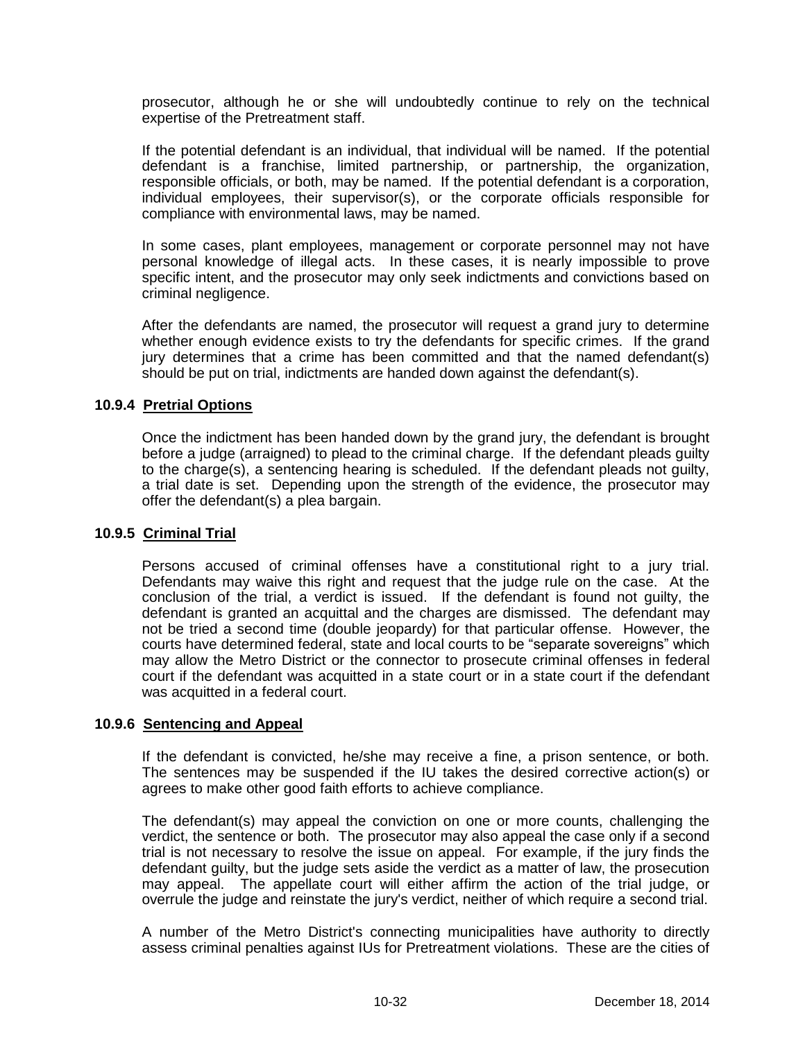prosecutor, although he or she will undoubtedly continue to rely on the technical expertise of the Pretreatment staff.

If the potential defendant is an individual, that individual will be named. If the potential defendant is a franchise, limited partnership, or partnership, the organization, responsible officials, or both, may be named. If the potential defendant is a corporation, individual employees, their supervisor(s), or the corporate officials responsible for compliance with environmental laws, may be named.

In some cases, plant employees, management or corporate personnel may not have personal knowledge of illegal acts. In these cases, it is nearly impossible to prove specific intent, and the prosecutor may only seek indictments and convictions based on criminal negligence.

After the defendants are named, the prosecutor will request a grand jury to determine whether enough evidence exists to try the defendants for specific crimes. If the grand jury determines that a crime has been committed and that the named defendant(s) should be put on trial, indictments are handed down against the defendant(s).

#### **10.9.4 Pretrial Options**

Once the indictment has been handed down by the grand jury, the defendant is brought before a judge (arraigned) to plead to the criminal charge. If the defendant pleads guilty to the charge(s), a sentencing hearing is scheduled. If the defendant pleads not guilty, a trial date is set. Depending upon the strength of the evidence, the prosecutor may offer the defendant(s) a plea bargain.

#### **10.9.5 Criminal Trial**

Persons accused of criminal offenses have a constitutional right to a jury trial. Defendants may waive this right and request that the judge rule on the case. At the conclusion of the trial, a verdict is issued. If the defendant is found not guilty, the defendant is granted an acquittal and the charges are dismissed. The defendant may not be tried a second time (double jeopardy) for that particular offense. However, the courts have determined federal, state and local courts to be "separate sovereigns" which may allow the Metro District or the connector to prosecute criminal offenses in federal court if the defendant was acquitted in a state court or in a state court if the defendant was acquitted in a federal court.

#### **10.9.6 Sentencing and Appeal**

If the defendant is convicted, he/she may receive a fine, a prison sentence, or both. The sentences may be suspended if the IU takes the desired corrective action(s) or agrees to make other good faith efforts to achieve compliance.

The defendant(s) may appeal the conviction on one or more counts, challenging the verdict, the sentence or both. The prosecutor may also appeal the case only if a second trial is not necessary to resolve the issue on appeal. For example, if the jury finds the defendant guilty, but the judge sets aside the verdict as a matter of law, the prosecution may appeal. The appellate court will either affirm the action of the trial judge, or overrule the judge and reinstate the jury's verdict, neither of which require a second trial.

A number of the Metro District's connecting municipalities have authority to directly assess criminal penalties against IUs for Pretreatment violations. These are the cities of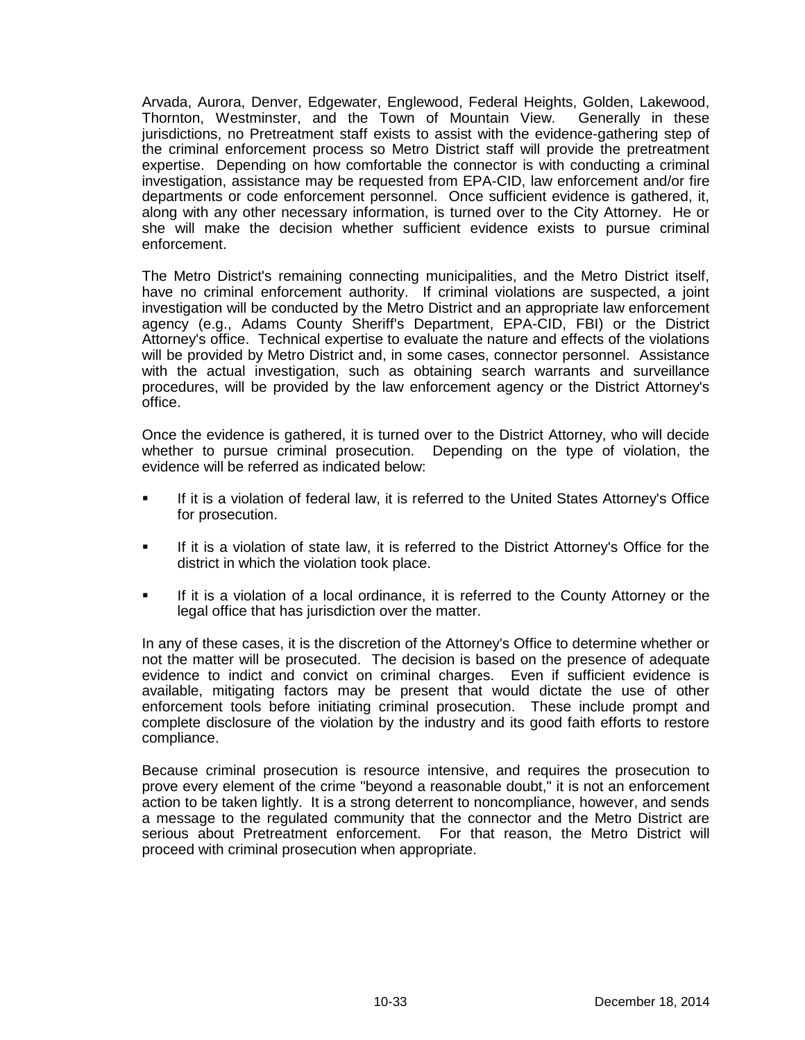Arvada, Aurora, Denver, Edgewater, Englewood, Federal Heights, Golden, Lakewood, Thornton, Westminster, and the Town of Mountain View. Generally in these jurisdictions, no Pretreatment staff exists to assist with the evidence-gathering step of the criminal enforcement process so Metro District staff will provide the pretreatment expertise. Depending on how comfortable the connector is with conducting a criminal investigation, assistance may be requested from EPA-CID, law enforcement and/or fire departments or code enforcement personnel. Once sufficient evidence is gathered, it, along with any other necessary information, is turned over to the City Attorney. He or she will make the decision whether sufficient evidence exists to pursue criminal enforcement.

The Metro District's remaining connecting municipalities, and the Metro District itself, have no criminal enforcement authority. If criminal violations are suspected, a joint investigation will be conducted by the Metro District and an appropriate law enforcement agency (e.g., Adams County Sheriff's Department, EPA-CID, FBI) or the District Attorney's office. Technical expertise to evaluate the nature and effects of the violations will be provided by Metro District and, in some cases, connector personnel. Assistance with the actual investigation, such as obtaining search warrants and surveillance procedures, will be provided by the law enforcement agency or the District Attorney's office.

Once the evidence is gathered, it is turned over to the District Attorney, who will decide whether to pursue criminal prosecution. Depending on the type of violation, the evidence will be referred as indicated below:

- If it is a violation of federal law, it is referred to the United States Attorney's Office for prosecution.
- If it is a violation of state law, it is referred to the District Attorney's Office for the district in which the violation took place.
- If it is a violation of a local ordinance, it is referred to the County Attorney or the legal office that has jurisdiction over the matter.

In any of these cases, it is the discretion of the Attorney's Office to determine whether or not the matter will be prosecuted. The decision is based on the presence of adequate evidence to indict and convict on criminal charges. Even if sufficient evidence is available, mitigating factors may be present that would dictate the use of other enforcement tools before initiating criminal prosecution. These include prompt and complete disclosure of the violation by the industry and its good faith efforts to restore compliance.

Because criminal prosecution is resource intensive, and requires the prosecution to prove every element of the crime "beyond a reasonable doubt," it is not an enforcement action to be taken lightly. It is a strong deterrent to noncompliance, however, and sends a message to the regulated community that the connector and the Metro District are serious about Pretreatment enforcement. For that reason, the Metro District will proceed with criminal prosecution when appropriate.